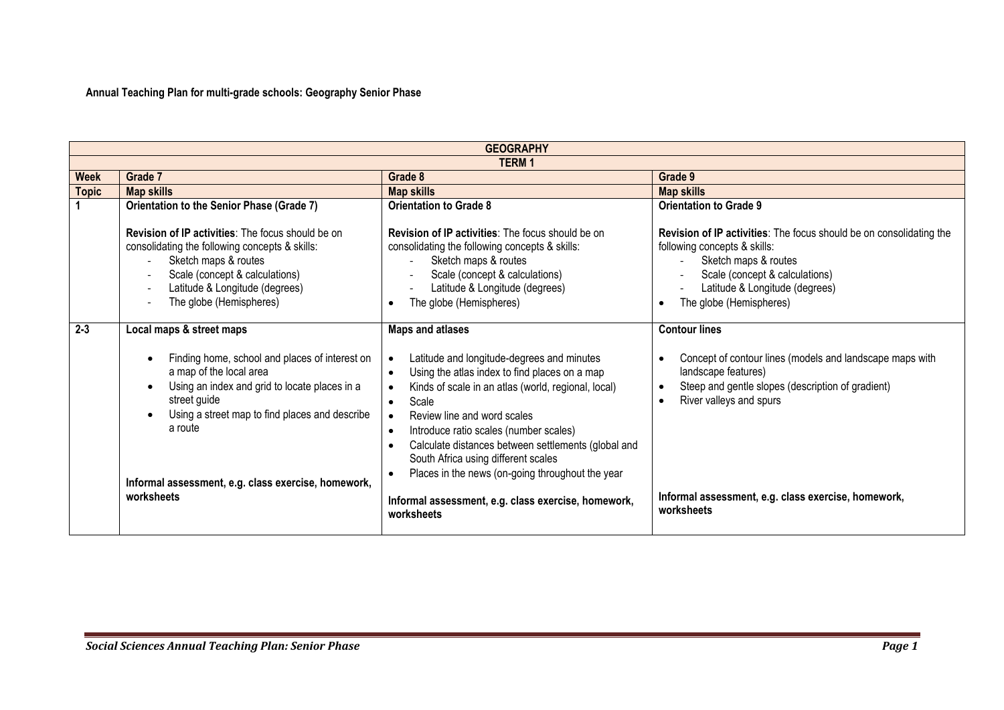**Annual Teaching Plan for multi-grade schools: Geography Senior Phase**

|              | <b>GEOGRAPHY</b>                                                                                                                                                                                                                  |                                                                                                                                                                                                                                                            |                                                                                                                                                                                                                                                          |  |  |
|--------------|-----------------------------------------------------------------------------------------------------------------------------------------------------------------------------------------------------------------------------------|------------------------------------------------------------------------------------------------------------------------------------------------------------------------------------------------------------------------------------------------------------|----------------------------------------------------------------------------------------------------------------------------------------------------------------------------------------------------------------------------------------------------------|--|--|
|              | <b>TERM1</b>                                                                                                                                                                                                                      |                                                                                                                                                                                                                                                            |                                                                                                                                                                                                                                                          |  |  |
| <b>Week</b>  | Grade 7                                                                                                                                                                                                                           | Grade 8                                                                                                                                                                                                                                                    | Grade 9                                                                                                                                                                                                                                                  |  |  |
| <b>Topic</b> | <b>Map skills</b>                                                                                                                                                                                                                 | <b>Map skills</b>                                                                                                                                                                                                                                          | <b>Map skills</b>                                                                                                                                                                                                                                        |  |  |
|              | Orientation to the Senior Phase (Grade 7)                                                                                                                                                                                         | <b>Orientation to Grade 8</b>                                                                                                                                                                                                                              | <b>Orientation to Grade 9</b>                                                                                                                                                                                                                            |  |  |
|              | <b>Revision of IP activities:</b> The focus should be on<br>consolidating the following concepts & skills:<br>Sketch maps & routes<br>Scale (concept & calculations)<br>Latitude & Longitude (degrees)<br>The globe (Hemispheres) | <b>Revision of IP activities:</b> The focus should be on<br>consolidating the following concepts & skills:<br>Sketch maps & routes<br>Scale (concept & calculations)<br>Latitude & Longitude (degrees)<br>The globe (Hemispheres)                          | Revision of IP activities: The focus should be on consolidating the<br>following concepts & skills:<br>Sketch maps & routes<br>Scale (concept & calculations)<br>$\frac{1}{2}$<br>Latitude & Longitude (degrees)<br>The globe (Hemispheres)<br>$\bullet$ |  |  |
| $2 - 3$      | Local maps & street maps<br>Finding home, school and places of interest on                                                                                                                                                        | <b>Maps and atlases</b><br>Latitude and longitude-degrees and minutes                                                                                                                                                                                      | <b>Contour lines</b><br>Concept of contour lines (models and landscape maps with<br>$\bullet$                                                                                                                                                            |  |  |
|              | a map of the local area<br>Using an index and grid to locate places in a<br>street guide<br>Using a street map to find places and describe<br>a route                                                                             | Using the atlas index to find places on a map<br>Kinds of scale in an atlas (world, regional, local)<br>Scale<br>$\bullet$<br>Review line and word scales<br>Introduce ratio scales (number scales)<br>Calculate distances between settlements (global and | landscape features)<br>Steep and gentle slopes (description of gradient)<br>$\bullet$<br>River valleys and spurs<br>$\bullet$                                                                                                                            |  |  |
|              | Informal assessment, e.g. class exercise, homework,<br>worksheets                                                                                                                                                                 | South Africa using different scales<br>Places in the news (on-going throughout the year<br>Informal assessment, e.g. class exercise, homework,<br>worksheets                                                                                               | Informal assessment, e.g. class exercise, homework,<br>worksheets                                                                                                                                                                                        |  |  |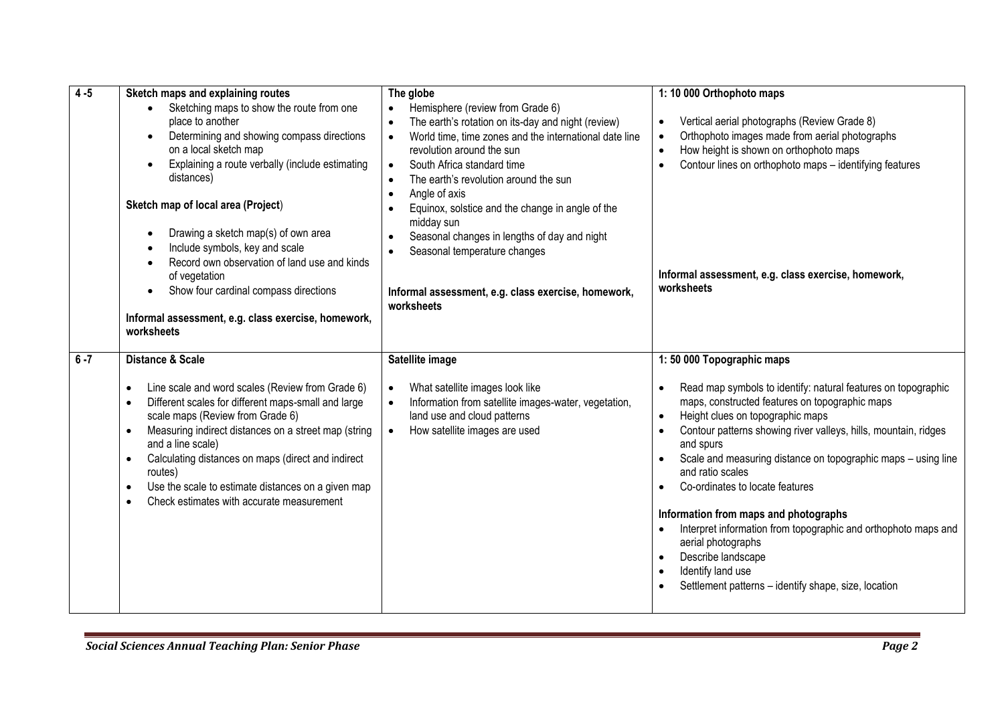| $4 - 5$ | Sketch maps and explaining routes<br>Sketching maps to show the route from one<br>$\bullet$<br>place to another<br>Determining and showing compass directions<br>on a local sketch map<br>Explaining a route verbally (include estimating<br>$\bullet$<br>distances)<br>Sketch map of local area (Project)<br>Drawing a sketch map(s) of own area<br>Include symbols, key and scale<br>Record own observation of land use and kinds<br>of vegetation<br>Show four cardinal compass directions<br>$\bullet$<br>Informal assessment, e.g. class exercise, homework,<br>worksheets | The globe<br>Hemisphere (review from Grade 6)<br>The earth's rotation on its-day and night (review)<br>$\bullet$<br>World time, time zones and the international date line<br>$\bullet$<br>revolution around the sun<br>South Africa standard time<br>$\bullet$<br>The earth's revolution around the sun<br>$\bullet$<br>Angle of axis<br>$\bullet$<br>Equinox, solstice and the change in angle of the<br>midday sun<br>Seasonal changes in lengths of day and night<br>Seasonal temperature changes<br>Informal assessment, e.g. class exercise, homework,<br>worksheets | 1:10 000 Orthophoto maps<br>Vertical aerial photographs (Review Grade 8)<br>$\bullet$<br>Orthophoto images made from aerial photographs<br>$\bullet$<br>How height is shown on orthophoto maps<br>$\bullet$<br>Contour lines on orthophoto maps - identifying features<br>$\bullet$<br>Informal assessment, e.g. class exercise, homework,<br>worksheets                                                                                                                                                                                                                                                                                  |
|---------|---------------------------------------------------------------------------------------------------------------------------------------------------------------------------------------------------------------------------------------------------------------------------------------------------------------------------------------------------------------------------------------------------------------------------------------------------------------------------------------------------------------------------------------------------------------------------------|----------------------------------------------------------------------------------------------------------------------------------------------------------------------------------------------------------------------------------------------------------------------------------------------------------------------------------------------------------------------------------------------------------------------------------------------------------------------------------------------------------------------------------------------------------------------------|-------------------------------------------------------------------------------------------------------------------------------------------------------------------------------------------------------------------------------------------------------------------------------------------------------------------------------------------------------------------------------------------------------------------------------------------------------------------------------------------------------------------------------------------------------------------------------------------------------------------------------------------|
| $6 - 7$ | <b>Distance &amp; Scale</b><br>Line scale and word scales (Review from Grade 6)<br>$\bullet$<br>Different scales for different maps-small and large<br>scale maps (Review from Grade 6)<br>Measuring indirect distances on a street map (string<br>and a line scale)<br>Calculating distances on maps (direct and indirect<br>$\bullet$<br>routes)<br>Use the scale to estimate distances on a given map<br>$\bullet$<br>Check estimates with accurate measurement                                                                                                              | Satellite image<br>What satellite images look like<br>Information from satellite images-water, vegetation,<br>land use and cloud patterns<br>How satellite images are used                                                                                                                                                                                                                                                                                                                                                                                                 | 1:50 000 Topographic maps<br>Read map symbols to identify: natural features on topographic<br>maps, constructed features on topographic maps<br>Height clues on topographic maps<br>Contour patterns showing river valleys, hills, mountain, ridges<br>and spurs<br>Scale and measuring distance on topographic maps - using line<br>and ratio scales<br>Co-ordinates to locate features<br>Information from maps and photographs<br>Interpret information from topographic and orthophoto maps and<br>aerial photographs<br>Describe landscape<br>Identify land use<br>$\bullet$<br>Settlement patterns - identify shape, size, location |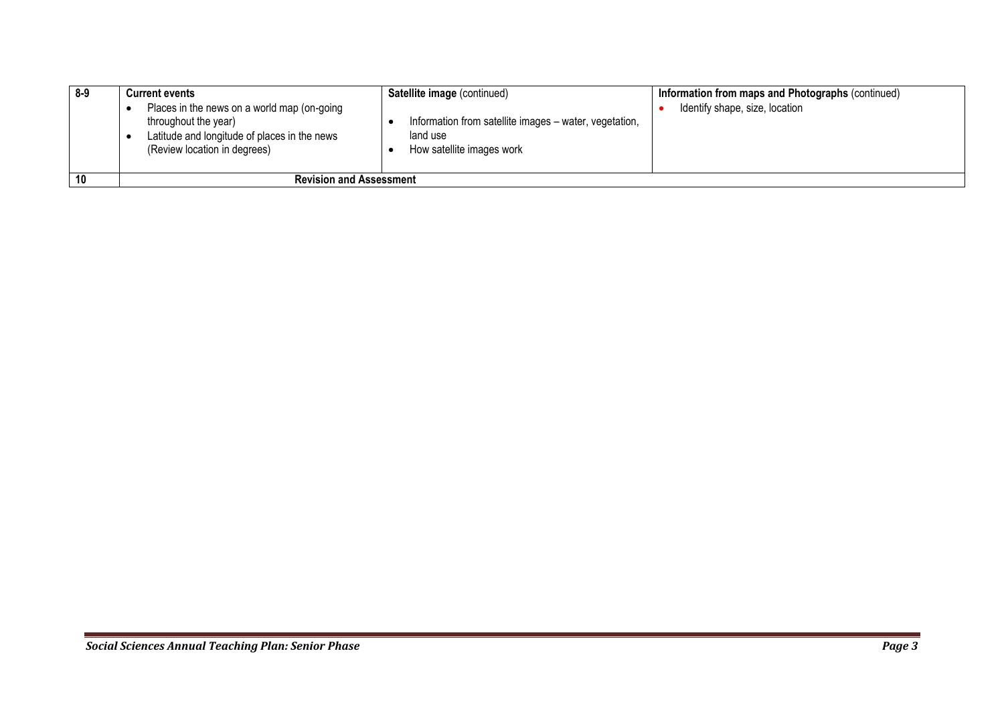| 8-9 | <b>Current events</b><br>Places in the news on a world map (on-going<br>throughout the year)<br>Latitude and longitude of places in the news<br>(Review location in degrees) | Satellite image (continued)<br>Information from satellite images - water, vegetation,<br>land use<br>How satellite images work | Information from maps and Photographs (continued)<br>Identify shape, size, location |
|-----|------------------------------------------------------------------------------------------------------------------------------------------------------------------------------|--------------------------------------------------------------------------------------------------------------------------------|-------------------------------------------------------------------------------------|
| 10  | <b>Revision and Assessment</b>                                                                                                                                               |                                                                                                                                |                                                                                     |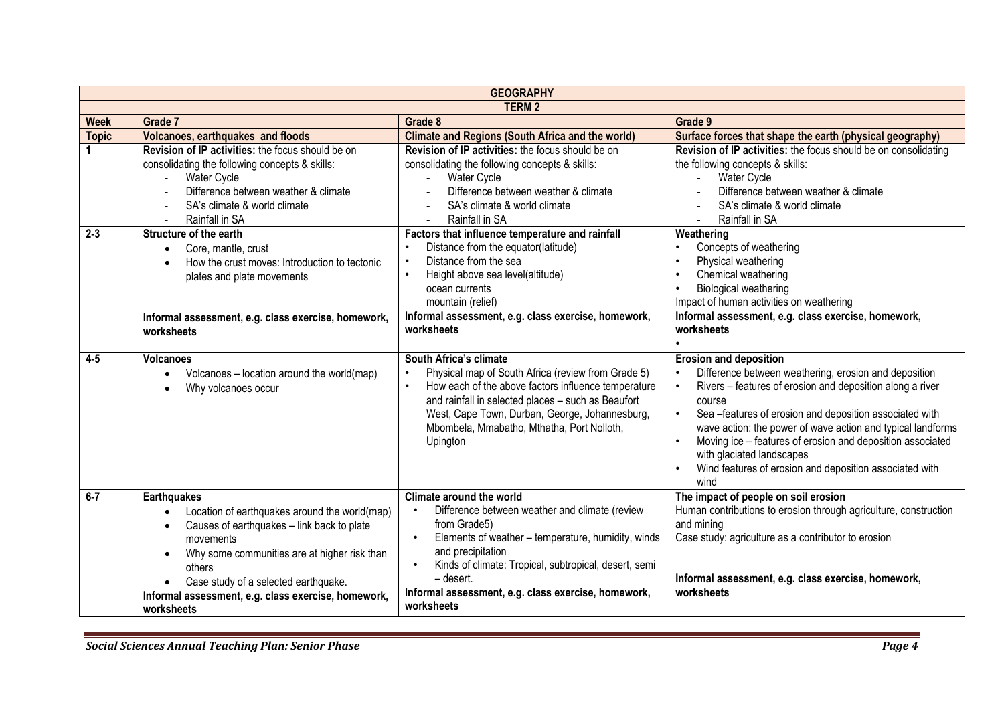|              | <b>GEOGRAPHY</b>                                                                                                                                                                                                                                                                                      |                                                                                                                                                                                                                                                                                                                                                         |                                                                                                                                                                                                                                                                                                                                                                                                                                                                   |  |  |
|--------------|-------------------------------------------------------------------------------------------------------------------------------------------------------------------------------------------------------------------------------------------------------------------------------------------------------|---------------------------------------------------------------------------------------------------------------------------------------------------------------------------------------------------------------------------------------------------------------------------------------------------------------------------------------------------------|-------------------------------------------------------------------------------------------------------------------------------------------------------------------------------------------------------------------------------------------------------------------------------------------------------------------------------------------------------------------------------------------------------------------------------------------------------------------|--|--|
|              | <b>TERM 2</b>                                                                                                                                                                                                                                                                                         |                                                                                                                                                                                                                                                                                                                                                         |                                                                                                                                                                                                                                                                                                                                                                                                                                                                   |  |  |
| <b>Week</b>  | Grade 7                                                                                                                                                                                                                                                                                               | Grade 8                                                                                                                                                                                                                                                                                                                                                 | Grade 9                                                                                                                                                                                                                                                                                                                                                                                                                                                           |  |  |
| <b>Topic</b> | Volcanoes, earthquakes and floods                                                                                                                                                                                                                                                                     | <b>Climate and Regions (South Africa and the world)</b>                                                                                                                                                                                                                                                                                                 | Surface forces that shape the earth (physical geography)                                                                                                                                                                                                                                                                                                                                                                                                          |  |  |
|              | Revision of IP activities: the focus should be on<br>consolidating the following concepts & skills:<br><b>Water Cycle</b><br>Difference between weather & climate<br>SA's climate & world climate<br>Rainfall in SA                                                                                   | Revision of IP activities: the focus should be on<br>consolidating the following concepts & skills:<br>Water Cycle<br>Difference between weather & climate<br>SA's climate & world climate<br>Rainfall in SA                                                                                                                                            | Revision of IP activities: the focus should be on consolidating<br>the following concepts & skills:<br><b>Water Cycle</b><br>$\overline{\phantom{a}}$<br>Difference between weather & climate<br>SA's climate & world climate<br>Rainfall in SA                                                                                                                                                                                                                   |  |  |
| $2 - 3$      | Structure of the earth<br>Core, mantle, crust<br>$\bullet$<br>How the crust moves: Introduction to tectonic<br>plates and plate movements<br>Informal assessment, e.g. class exercise, homework,<br>worksheets                                                                                        | Factors that influence temperature and rainfall<br>Distance from the equator(latitude)<br>Distance from the sea<br>$\bullet$<br>Height above sea level(altitude)<br>ocean currents<br>mountain (relief)<br>Informal assessment, e.g. class exercise, homework,<br>worksheets                                                                            | Weathering<br>Concepts of weathering<br>Physical weathering<br>$\bullet$<br>Chemical weathering<br>$\bullet$<br>Biological weathering<br>$\bullet$<br>Impact of human activities on weathering<br>Informal assessment, e.g. class exercise, homework,<br>worksheets                                                                                                                                                                                               |  |  |
| $4 - 5$      | <b>Volcanoes</b><br>Volcanoes - location around the world(map)<br>Why volcanoes occur                                                                                                                                                                                                                 | South Africa's climate<br>Physical map of South Africa (review from Grade 5)<br>How each of the above factors influence temperature<br>$\bullet$<br>and rainfall in selected places - such as Beaufort<br>West, Cape Town, Durban, George, Johannesburg,<br>Mbombela, Mmabatho, Mthatha, Port Nolloth,<br>Upington                                      | <b>Erosion and deposition</b><br>Difference between weathering, erosion and deposition<br>$\bullet$<br>Rivers - features of erosion and deposition along a river<br>course<br>Sea-features of erosion and deposition associated with<br>wave action: the power of wave action and typical landforms<br>Moving ice - features of erosion and deposition associated<br>with glaciated landscapes<br>Wind features of erosion and deposition associated with<br>wind |  |  |
| $6 - 7$      | <b>Earthquakes</b><br>Location of earthquakes around the world(map)<br>Causes of earthquakes - link back to plate<br>movements<br>Why some communities are at higher risk than<br>others<br>Case study of a selected earthquake.<br>Informal assessment, e.g. class exercise, homework,<br>worksheets | Climate around the world<br>Difference between weather and climate (review<br>$\bullet$<br>from Grade5)<br>Elements of weather - temperature, humidity, winds<br>$\bullet$<br>and precipitation<br>Kinds of climate: Tropical, subtropical, desert, semi<br>$\bullet$<br>- desert.<br>Informal assessment, e.g. class exercise, homework,<br>worksheets | The impact of people on soil erosion<br>Human contributions to erosion through agriculture, construction<br>and mining<br>Case study: agriculture as a contributor to erosion<br>Informal assessment, e.g. class exercise, homework,<br>worksheets                                                                                                                                                                                                                |  |  |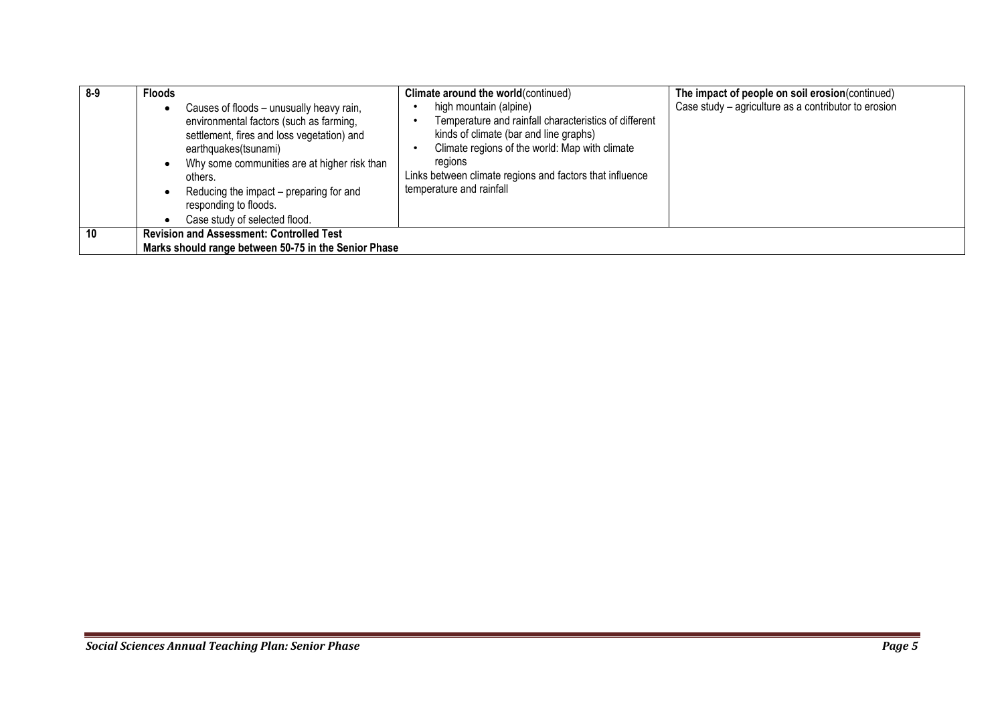| 8-9 | <b>Floods</b>                                                                                                                                                                                                                                                                                                                  | Climate around the world (continued)                                                                                                                                                                                                                                           | The impact of people on soil erosion(continued)      |
|-----|--------------------------------------------------------------------------------------------------------------------------------------------------------------------------------------------------------------------------------------------------------------------------------------------------------------------------------|--------------------------------------------------------------------------------------------------------------------------------------------------------------------------------------------------------------------------------------------------------------------------------|------------------------------------------------------|
|     | Causes of floods - unusually heavy rain,<br>٠<br>environmental factors (such as farming,<br>settlement, fires and loss vegetation) and<br>earthquakes(tsunami)<br>Why some communities are at higher risk than<br>others.<br>Reducing the impact - preparing for and<br>responding to floods.<br>Case study of selected flood. | high mountain (alpine)<br>Temperature and rainfall characteristics of different<br>kinds of climate (bar and line graphs)<br>Climate regions of the world: Map with climate<br>regions<br>Links between climate regions and factors that influence<br>temperature and rainfall | Case study – agriculture as a contributor to erosion |
| 10  | <b>Revision and Assessment: Controlled Test</b>                                                                                                                                                                                                                                                                                |                                                                                                                                                                                                                                                                                |                                                      |
|     | Marks should range between 50-75 in the Senior Phase                                                                                                                                                                                                                                                                           |                                                                                                                                                                                                                                                                                |                                                      |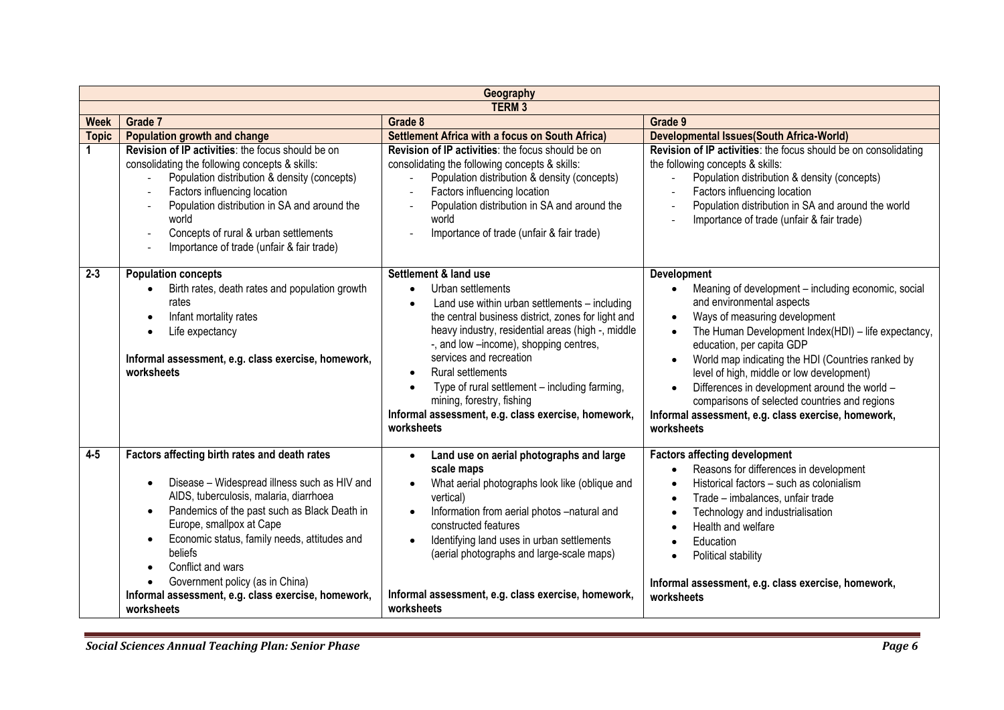|              | Geography                                                                                                                                                                                                                                                                                                                                                                                                                |                                                                                                                                                                                                                                                                                                                                                                                                                                                                                                                 |                                                                                                                                                                                                                                                                                                                                                                                                                                                                                                                         |  |
|--------------|--------------------------------------------------------------------------------------------------------------------------------------------------------------------------------------------------------------------------------------------------------------------------------------------------------------------------------------------------------------------------------------------------------------------------|-----------------------------------------------------------------------------------------------------------------------------------------------------------------------------------------------------------------------------------------------------------------------------------------------------------------------------------------------------------------------------------------------------------------------------------------------------------------------------------------------------------------|-------------------------------------------------------------------------------------------------------------------------------------------------------------------------------------------------------------------------------------------------------------------------------------------------------------------------------------------------------------------------------------------------------------------------------------------------------------------------------------------------------------------------|--|
|              |                                                                                                                                                                                                                                                                                                                                                                                                                          | <b>TERM3</b>                                                                                                                                                                                                                                                                                                                                                                                                                                                                                                    |                                                                                                                                                                                                                                                                                                                                                                                                                                                                                                                         |  |
| <b>Week</b>  | Grade 7                                                                                                                                                                                                                                                                                                                                                                                                                  | Grade 8                                                                                                                                                                                                                                                                                                                                                                                                                                                                                                         | Grade 9                                                                                                                                                                                                                                                                                                                                                                                                                                                                                                                 |  |
| <b>Topic</b> | Population growth and change                                                                                                                                                                                                                                                                                                                                                                                             | <b>Settlement Africa with a focus on South Africa)</b>                                                                                                                                                                                                                                                                                                                                                                                                                                                          | <b>Developmental Issues (South Africa-World)</b>                                                                                                                                                                                                                                                                                                                                                                                                                                                                        |  |
|              | Revision of IP activities: the focus should be on<br>consolidating the following concepts & skills:<br>Population distribution & density (concepts)<br>$\overline{\phantom{a}}$<br>Factors influencing location<br>Population distribution in SA and around the<br>world<br>Concepts of rural & urban settlements<br>Importance of trade (unfair & fair trade)                                                           | Revision of IP activities: the focus should be on<br>consolidating the following concepts & skills:<br>Population distribution & density (concepts)<br>Factors influencing location<br>Population distribution in SA and around the<br>world<br>Importance of trade (unfair & fair trade)                                                                                                                                                                                                                       | Revision of IP activities: the focus should be on consolidating<br>the following concepts & skills:<br>Population distribution & density (concepts)<br>Factors influencing location<br>Population distribution in SA and around the world<br>Importance of trade (unfair & fair trade)                                                                                                                                                                                                                                  |  |
| $2 - 3$      | <b>Population concepts</b><br>Birth rates, death rates and population growth<br>rates<br>Infant mortality rates<br>Life expectancy<br>Informal assessment, e.g. class exercise, homework,<br>worksheets                                                                                                                                                                                                                  | Settlement & land use<br>Urban settlements<br>$\bullet$<br>Land use within urban settlements - including<br>$\bullet$<br>the central business district, zones for light and<br>heavy industry, residential areas (high -, middle<br>-, and low --income), shopping centres,<br>services and recreation<br><b>Rural settlements</b><br>$\bullet$<br>Type of rural settlement - including farming,<br>$\bullet$<br>mining, forestry, fishing<br>Informal assessment, e.g. class exercise, homework,<br>worksheets | Development<br>Meaning of development - including economic, social<br>and environmental aspects<br>Ways of measuring development<br>$\bullet$<br>The Human Development Index(HDI) - life expectancy,<br>education, per capita GDP<br>World map indicating the HDI (Countries ranked by<br>$\bullet$<br>level of high, middle or low development)<br>Differences in development around the world -<br>comparisons of selected countries and regions<br>Informal assessment, e.g. class exercise, homework,<br>worksheets |  |
| $4 - 5$      | Factors affecting birth rates and death rates<br>Disease - Widespread illness such as HIV and<br>AIDS, tuberculosis, malaria, diarrhoea<br>Pandemics of the past such as Black Death in<br>Europe, smallpox at Cape<br>Economic status, family needs, attitudes and<br>beliefs<br>Conflict and wars<br>Government policy (as in China)<br>$\bullet$<br>Informal assessment, e.g. class exercise, homework,<br>worksheets | Land use on aerial photographs and large<br>scale maps<br>What aerial photographs look like (oblique and<br>vertical)<br>Information from aerial photos -natural and<br>constructed features<br>Identifying land uses in urban settlements<br>(aerial photographs and large-scale maps)<br>Informal assessment, e.g. class exercise, homework,<br>worksheets                                                                                                                                                    | <b>Factors affecting development</b><br>Reasons for differences in development<br>Historical factors - such as colonialism<br>Trade - imbalances, unfair trade<br>$\bullet$<br>Technology and industrialisation<br>Health and welfare<br>Education<br>Political stability<br>Informal assessment, e.g. class exercise, homework,<br>worksheets                                                                                                                                                                          |  |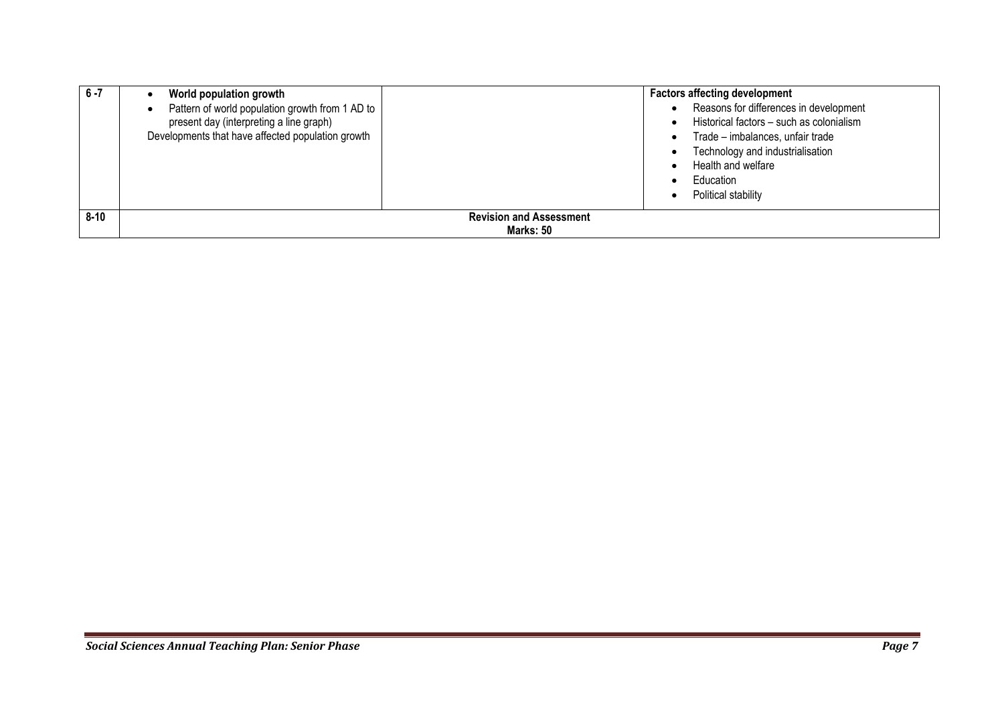| $6 - 7$  | World population growth<br>Pattern of world population growth from 1 AD to<br>present day (interpreting a line graph)<br>Developments that have affected population growth |                                             | <b>Factors affecting development</b><br>Reasons for differences in development<br>Historical factors - such as colonialism<br>Trade - imbalances, unfair trade<br>Technology and industrialisation<br>Health and welfare<br>Education<br>Political stability |
|----------|----------------------------------------------------------------------------------------------------------------------------------------------------------------------------|---------------------------------------------|--------------------------------------------------------------------------------------------------------------------------------------------------------------------------------------------------------------------------------------------------------------|
| $8 - 10$ |                                                                                                                                                                            | <b>Revision and Assessment</b><br>Marks: 50 |                                                                                                                                                                                                                                                              |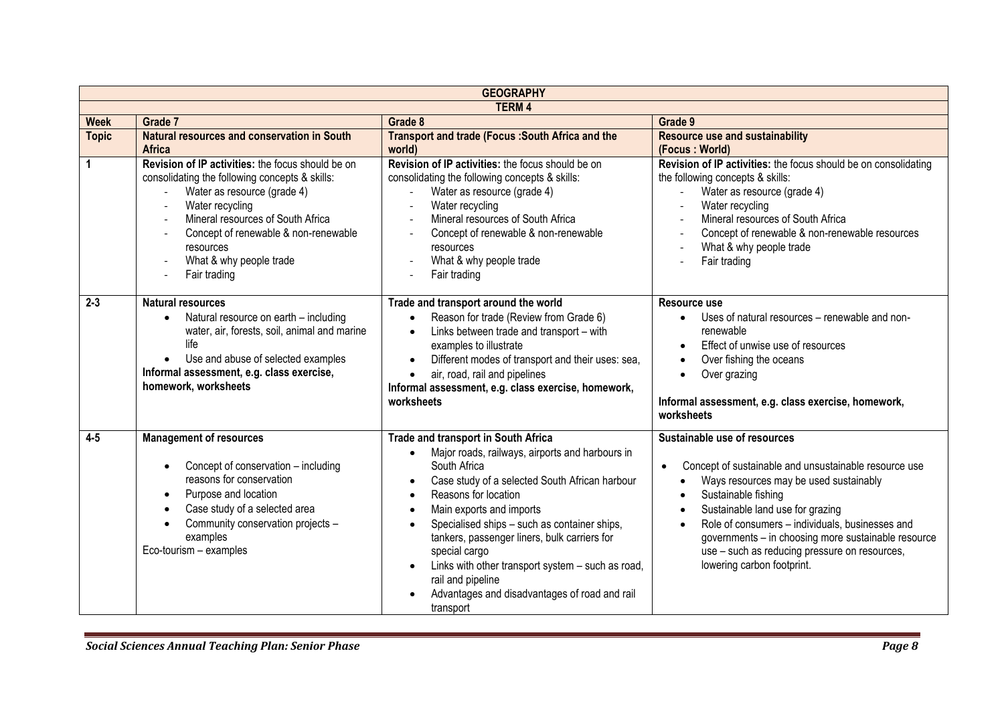|                             | <b>GEOGRAPHY</b>                                                                                                                                                                                                                                                                           |                                                                                                                                                                                                                                                                                                                                                                                                                                                                                                              |                                                                                                                                                                                                                                                                                                                                                                                                  |  |  |
|-----------------------------|--------------------------------------------------------------------------------------------------------------------------------------------------------------------------------------------------------------------------------------------------------------------------------------------|--------------------------------------------------------------------------------------------------------------------------------------------------------------------------------------------------------------------------------------------------------------------------------------------------------------------------------------------------------------------------------------------------------------------------------------------------------------------------------------------------------------|--------------------------------------------------------------------------------------------------------------------------------------------------------------------------------------------------------------------------------------------------------------------------------------------------------------------------------------------------------------------------------------------------|--|--|
|                             |                                                                                                                                                                                                                                                                                            | <b>TERM4</b>                                                                                                                                                                                                                                                                                                                                                                                                                                                                                                 |                                                                                                                                                                                                                                                                                                                                                                                                  |  |  |
| <b>Week</b><br><b>Topic</b> | Grade 7<br>Natural resources and conservation in South<br><b>Africa</b>                                                                                                                                                                                                                    | Grade 8<br>Transport and trade (Focus: South Africa and the<br>world)                                                                                                                                                                                                                                                                                                                                                                                                                                        | Grade 9<br><b>Resource use and sustainability</b><br>(Focus: World)                                                                                                                                                                                                                                                                                                                              |  |  |
| 1                           | Revision of IP activities: the focus should be on<br>consolidating the following concepts & skills:<br>Water as resource (grade 4)<br>Water recycling<br>Mineral resources of South Africa<br>Concept of renewable & non-renewable<br>resources<br>What & why people trade<br>Fair trading | Revision of IP activities: the focus should be on<br>consolidating the following concepts & skills:<br>Water as resource (grade 4)<br>Water recycling<br>Mineral resources of South Africa<br>Concept of renewable & non-renewable<br>resources<br>What & why people trade<br>Fair trading                                                                                                                                                                                                                   | Revision of IP activities: the focus should be on consolidating<br>the following concepts & skills:<br>Water as resource (grade 4)<br>Water recycling<br>Mineral resources of South Africa<br>Concept of renewable & non-renewable resources<br>What & why people trade<br>Fair trading                                                                                                          |  |  |
| $2 - 3$                     | <b>Natural resources</b><br>Natural resource on earth - including<br>water, air, forests, soil, animal and marine<br>life<br>Use and abuse of selected examples<br>Informal assessment, e.g. class exercise,<br>homework, worksheets                                                       | Trade and transport around the world<br>Reason for trade (Review from Grade 6)<br>Links between trade and transport - with<br>examples to illustrate<br>Different modes of transport and their uses: sea,<br>air, road, rail and pipelines<br>Informal assessment, e.g. class exercise, homework,<br>worksheets                                                                                                                                                                                              | Resource use<br>Uses of natural resources - renewable and non-<br>renewable<br>Effect of unwise use of resources<br>Over fishing the oceans<br>Over grazing<br>Informal assessment, e.g. class exercise, homework,<br>worksheets                                                                                                                                                                 |  |  |
| $4 - 5$                     | <b>Management of resources</b><br>Concept of conservation - including<br>reasons for conservation<br>Purpose and location<br>$\bullet$<br>Case study of a selected area<br>Community conservation projects -<br>examples<br>Eco-tourism - examples                                         | Trade and transport in South Africa<br>Major roads, railways, airports and harbours in<br>South Africa<br>Case study of a selected South African harbour<br>Reasons for location<br>$\bullet$<br>Main exports and imports<br>$\bullet$<br>Specialised ships - such as container ships,<br>$\bullet$<br>tankers, passenger liners, bulk carriers for<br>special cargo<br>Links with other transport system - such as road,<br>rail and pipeline<br>Advantages and disadvantages of road and rail<br>transport | Sustainable use of resources<br>Concept of sustainable and unsustainable resource use<br>$\bullet$<br>Ways resources may be used sustainably<br>Sustainable fishing<br>Sustainable land use for grazing<br>Role of consumers - individuals, businesses and<br>governments - in choosing more sustainable resource<br>use - such as reducing pressure on resources,<br>lowering carbon footprint. |  |  |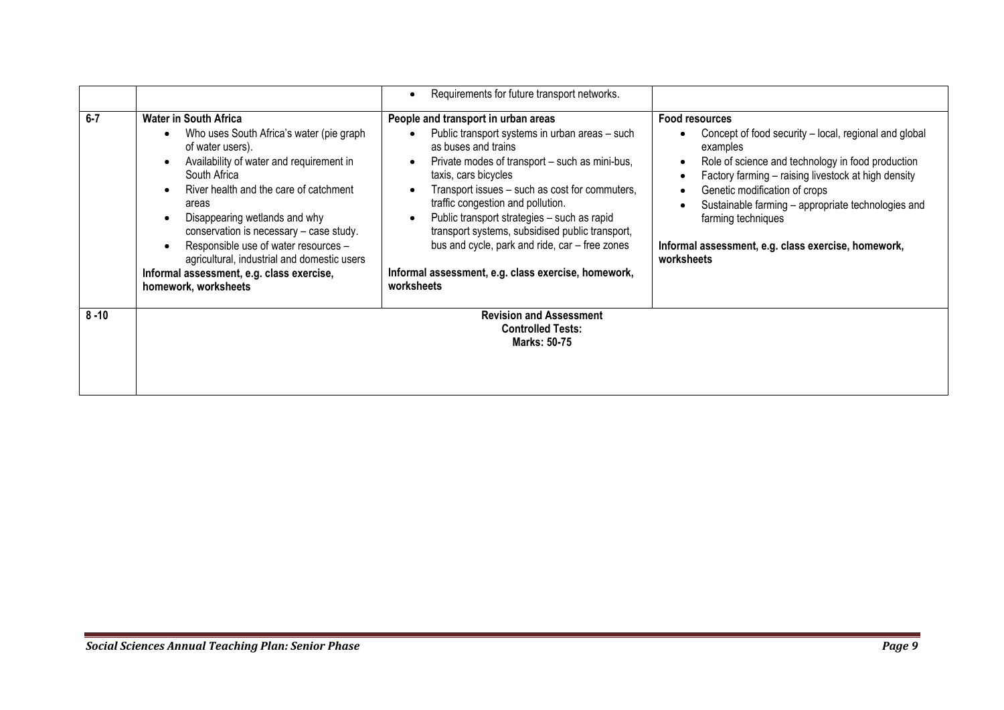|          |                                                                                                                                                                                                                                                                                                                                                                                                                                                      | Requirements for future transport networks.                                                                                                                                                                                                                                                                                                                                                                                                                                                            |                                                                                                                                                                                                                                                                                                                                                                                          |
|----------|------------------------------------------------------------------------------------------------------------------------------------------------------------------------------------------------------------------------------------------------------------------------------------------------------------------------------------------------------------------------------------------------------------------------------------------------------|--------------------------------------------------------------------------------------------------------------------------------------------------------------------------------------------------------------------------------------------------------------------------------------------------------------------------------------------------------------------------------------------------------------------------------------------------------------------------------------------------------|------------------------------------------------------------------------------------------------------------------------------------------------------------------------------------------------------------------------------------------------------------------------------------------------------------------------------------------------------------------------------------------|
| $6 - 7$  | <b>Water in South Africa</b><br>Who uses South Africa's water (pie graph)<br>of water users).<br>Availability of water and requirement in<br>South Africa<br>River health and the care of catchment<br>areas<br>Disappearing wetlands and why<br>conservation is necessary - case study.<br>Responsible use of water resources -<br>agricultural, industrial and domestic users<br>Informal assessment, e.g. class exercise,<br>homework, worksheets | People and transport in urban areas<br>Public transport systems in urban areas - such<br>as buses and trains<br>Private modes of transport - such as mini-bus,<br>taxis, cars bicycles<br>Transport issues - such as cost for commuters,<br>traffic congestion and pollution.<br>Public transport strategies - such as rapid<br>transport systems, subsidised public transport,<br>bus and cycle, park and ride, car - free zones<br>Informal assessment, e.g. class exercise, homework,<br>worksheets | <b>Food resources</b><br>Concept of food security – local, regional and global<br>examples<br>Role of science and technology in food production<br>Factory farming - raising livestock at high density<br>Genetic modification of crops<br>Sustainable farming - appropriate technologies and<br>farming techniques<br>Informal assessment, e.g. class exercise, homework,<br>worksheets |
| $8 - 10$ |                                                                                                                                                                                                                                                                                                                                                                                                                                                      | <b>Revision and Assessment</b><br><b>Controlled Tests:</b><br><b>Marks: 50-75</b>                                                                                                                                                                                                                                                                                                                                                                                                                      |                                                                                                                                                                                                                                                                                                                                                                                          |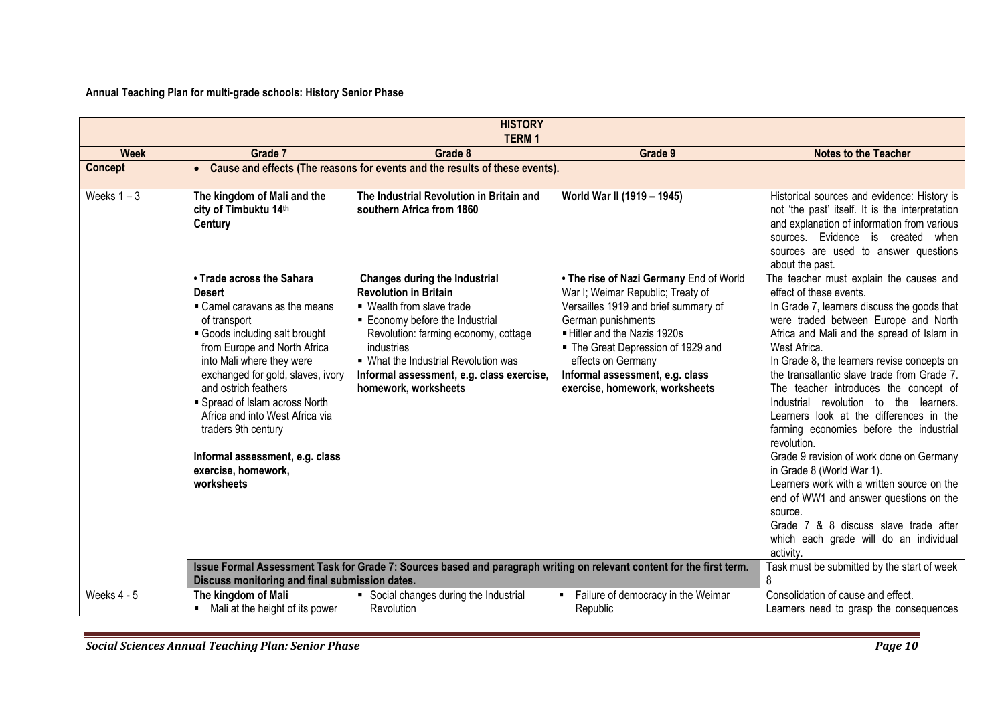**Annual Teaching Plan for multi-grade schools: History Senior Phase**

|                | <b>HISTORY</b>                                                                                                                                                                                                                                                                                                                                                                                                            |                                                                                                                                                                                                                                                                                                                                                                                                                                  |                                                                                                                                                                                                                                                                                                             |                                                                                                                                                                                                                                                                                                                                                                                                                                                                                                                                                                                                                                                                                                                                                                                                                                          |  |  |
|----------------|---------------------------------------------------------------------------------------------------------------------------------------------------------------------------------------------------------------------------------------------------------------------------------------------------------------------------------------------------------------------------------------------------------------------------|----------------------------------------------------------------------------------------------------------------------------------------------------------------------------------------------------------------------------------------------------------------------------------------------------------------------------------------------------------------------------------------------------------------------------------|-------------------------------------------------------------------------------------------------------------------------------------------------------------------------------------------------------------------------------------------------------------------------------------------------------------|------------------------------------------------------------------------------------------------------------------------------------------------------------------------------------------------------------------------------------------------------------------------------------------------------------------------------------------------------------------------------------------------------------------------------------------------------------------------------------------------------------------------------------------------------------------------------------------------------------------------------------------------------------------------------------------------------------------------------------------------------------------------------------------------------------------------------------------|--|--|
|                | <b>TERM1</b>                                                                                                                                                                                                                                                                                                                                                                                                              |                                                                                                                                                                                                                                                                                                                                                                                                                                  |                                                                                                                                                                                                                                                                                                             |                                                                                                                                                                                                                                                                                                                                                                                                                                                                                                                                                                                                                                                                                                                                                                                                                                          |  |  |
| <b>Week</b>    | Grade 7                                                                                                                                                                                                                                                                                                                                                                                                                   | Grade 8                                                                                                                                                                                                                                                                                                                                                                                                                          | Grade 9                                                                                                                                                                                                                                                                                                     | <b>Notes to the Teacher</b>                                                                                                                                                                                                                                                                                                                                                                                                                                                                                                                                                                                                                                                                                                                                                                                                              |  |  |
| <b>Concept</b> |                                                                                                                                                                                                                                                                                                                                                                                                                           | • Cause and effects (The reasons for events and the results of these events).                                                                                                                                                                                                                                                                                                                                                    |                                                                                                                                                                                                                                                                                                             |                                                                                                                                                                                                                                                                                                                                                                                                                                                                                                                                                                                                                                                                                                                                                                                                                                          |  |  |
| Weeks $1 - 3$  | The kingdom of Mali and the<br>city of Timbuktu 14th<br>Century                                                                                                                                                                                                                                                                                                                                                           | The Industrial Revolution in Britain and<br>southern Africa from 1860                                                                                                                                                                                                                                                                                                                                                            | World War II (1919 - 1945)                                                                                                                                                                                                                                                                                  | Historical sources and evidence: History is<br>not 'the past' itself. It is the interpretation<br>and explanation of information from various<br>sources. Evidence is created when<br>sources are used to answer questions<br>about the past.                                                                                                                                                                                                                                                                                                                                                                                                                                                                                                                                                                                            |  |  |
|                | • Trade across the Sahara<br><b>Desert</b><br>• Camel caravans as the means<br>of transport<br>Goods including salt brought<br>from Europe and North Africa<br>into Mali where they were<br>exchanged for gold, slaves, ivory<br>and ostrich feathers<br>• Spread of Islam across North<br>Africa and into West Africa via<br>traders 9th century<br>Informal assessment, e.g. class<br>exercise, homework,<br>worksheets | <b>Changes during the Industrial</b><br><b>Revolution in Britain</b><br>■ Wealth from slave trade<br>■ Economy before the Industrial<br>Revolution: farming economy, cottage<br>industries<br>. What the Industrial Revolution was<br>Informal assessment, e.g. class exercise,<br>homework, worksheets<br>Issue Formal Assessment Task for Grade 7: Sources based and paragraph writing on relevant content for the first term. | • The rise of Nazi Germany End of World<br>War I; Weimar Republic; Treaty of<br>Versailles 1919 and brief summary of<br>German punishments<br>- Hitler and the Nazis 1920s<br>• The Great Depression of 1929 and<br>effects on Germany<br>Informal assessment, e.g. class<br>exercise, homework, worksheets | The teacher must explain the causes and<br>effect of these events.<br>In Grade 7, learners discuss the goods that<br>were traded between Europe and North<br>Africa and Mali and the spread of Islam in<br>West Africa.<br>In Grade 8, the learners revise concepts on<br>the transatlantic slave trade from Grade 7.<br>The teacher introduces the concept of<br>Industrial revolution to the learners.<br>Learners look at the differences in the<br>farming economies before the industrial<br>revolution.<br>Grade 9 revision of work done on Germany<br>in Grade 8 (World War 1).<br>Learners work with a written source on the<br>end of WW1 and answer questions on the<br>source.<br>Grade 7 & 8 discuss slave trade after<br>which each grade will do an individual<br>activity.<br>Task must be submitted by the start of week |  |  |
|                | Discuss monitoring and final submission dates.                                                                                                                                                                                                                                                                                                                                                                            |                                                                                                                                                                                                                                                                                                                                                                                                                                  |                                                                                                                                                                                                                                                                                                             | 8                                                                                                                                                                                                                                                                                                                                                                                                                                                                                                                                                                                                                                                                                                                                                                                                                                        |  |  |
| Weeks $4 - 5$  | The kingdom of Mali<br>• Mali at the height of its power                                                                                                                                                                                                                                                                                                                                                                  | • Social changes during the Industrial<br>Revolution                                                                                                                                                                                                                                                                                                                                                                             | Failure of democracy in the Weimar<br>Republic                                                                                                                                                                                                                                                              | Consolidation of cause and effect.<br>Learners need to grasp the consequences                                                                                                                                                                                                                                                                                                                                                                                                                                                                                                                                                                                                                                                                                                                                                            |  |  |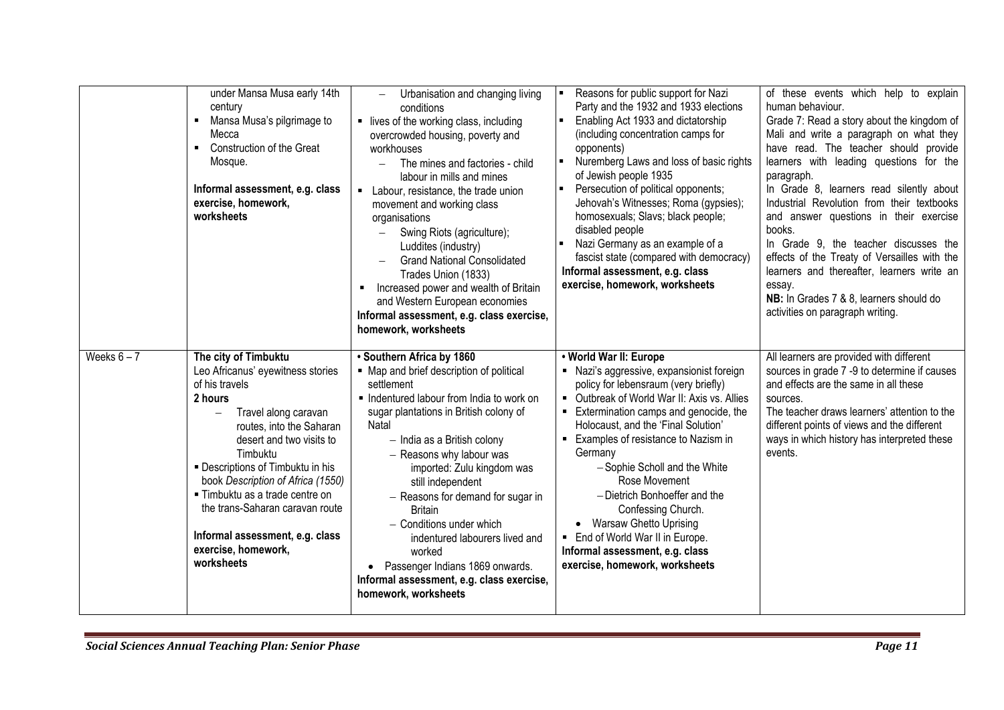|               | under Mansa Musa early 14th<br>century<br>Mansa Musa's pilgrimage to<br>Mecca<br>• Construction of the Great<br>Mosque.<br>Informal assessment, e.g. class<br>exercise, homework,<br>worksheets                                                                                                                                                                                                            | Urbanisation and changing living<br>conditions<br>• lives of the working class, including<br>overcrowded housing, poverty and<br>workhouses<br>The mines and factories - child<br>$\qquad \qquad -$<br>labour in mills and mines<br>Labour, resistance, the trade union<br>movement and working class<br>organisations<br>Swing Riots (agriculture);<br>$\overline{\phantom{0}}$<br>Luddites (industry)<br><b>Grand National Consolidated</b><br>Trades Union (1833)<br>Increased power and wealth of Britain<br>and Western European economies<br>Informal assessment, e.g. class exercise,<br>homework, worksheets | Reasons for public support for Nazi<br>Party and the 1932 and 1933 elections<br>Enabling Act 1933 and dictatorship<br>(including concentration camps for<br>opponents)<br>Nuremberg Laws and loss of basic rights<br>of Jewish people 1935<br>Persecution of political opponents;<br>Jehovah's Witnesses; Roma (gypsies);<br>homosexuals; Slavs; black people;<br>disabled people<br>Nazi Germany as an example of a<br>fascist state (compared with democracy)<br>Informal assessment, e.g. class<br>exercise, homework, worksheets      | of these events which help to explain<br>human behaviour.<br>Grade 7: Read a story about the kingdom of<br>Mali and write a paragraph on what they<br>have read. The teacher should provide<br>learners with leading questions for the<br>paragraph.<br>In Grade 8, learners read silently about<br>Industrial Revolution from their textbooks<br>and answer questions in their exercise<br>books.<br>In Grade 9, the teacher discusses the<br>effects of the Treaty of Versailles with the<br>learners and thereafter, learners write an<br>essay.<br>NB: In Grades 7 & 8, learners should do<br>activities on paragraph writing. |
|---------------|------------------------------------------------------------------------------------------------------------------------------------------------------------------------------------------------------------------------------------------------------------------------------------------------------------------------------------------------------------------------------------------------------------|----------------------------------------------------------------------------------------------------------------------------------------------------------------------------------------------------------------------------------------------------------------------------------------------------------------------------------------------------------------------------------------------------------------------------------------------------------------------------------------------------------------------------------------------------------------------------------------------------------------------|-------------------------------------------------------------------------------------------------------------------------------------------------------------------------------------------------------------------------------------------------------------------------------------------------------------------------------------------------------------------------------------------------------------------------------------------------------------------------------------------------------------------------------------------|------------------------------------------------------------------------------------------------------------------------------------------------------------------------------------------------------------------------------------------------------------------------------------------------------------------------------------------------------------------------------------------------------------------------------------------------------------------------------------------------------------------------------------------------------------------------------------------------------------------------------------|
| Weeks $6 - 7$ | The city of Timbuktu<br>Leo Africanus' eyewitness stories<br>of his travels<br>2 hours<br>Travel along caravan<br>routes, into the Saharan<br>desert and two visits to<br>Timbuktu<br>- Descriptions of Timbuktu in his<br>book Description of Africa (1550)<br>■ Timbuktu as a trade centre on<br>the trans-Saharan caravan route<br>Informal assessment, e.g. class<br>exercise, homework,<br>worksheets | · Southern Africa by 1860<br>• Map and brief description of political<br>settlement<br>• Indentured labour from India to work on<br>sugar plantations in British colony of<br>Natal<br>- India as a British colony<br>- Reasons why labour was<br>imported: Zulu kingdom was<br>still independent<br>- Reasons for demand for sugar in<br><b>Britain</b><br>- Conditions under which<br>indentured labourers lived and<br>worked<br>Passenger Indians 1869 onwards.<br>Informal assessment, e.g. class exercise,<br>homework, worksheets                                                                             | . World War II: Europe<br>• Nazi's aggressive, expansionist foreign<br>policy for lebensraum (very briefly)<br>• Outbreak of World War II: Axis vs. Allies<br>Extermination camps and genocide, the<br>Holocaust, and the 'Final Solution'<br>Examples of resistance to Nazism in<br>Germany<br>-Sophie Scholl and the White<br>Rose Movement<br>- Dietrich Bonhoeffer and the<br>Confessing Church.<br>• Warsaw Ghetto Uprising<br>• End of World War II in Europe.<br>Informal assessment, e.g. class<br>exercise, homework, worksheets | All learners are provided with different<br>sources in grade 7 -9 to determine if causes<br>and effects are the same in all these<br>sources.<br>The teacher draws learners' attention to the<br>different points of views and the different<br>ways in which history has interpreted these<br>events.                                                                                                                                                                                                                                                                                                                             |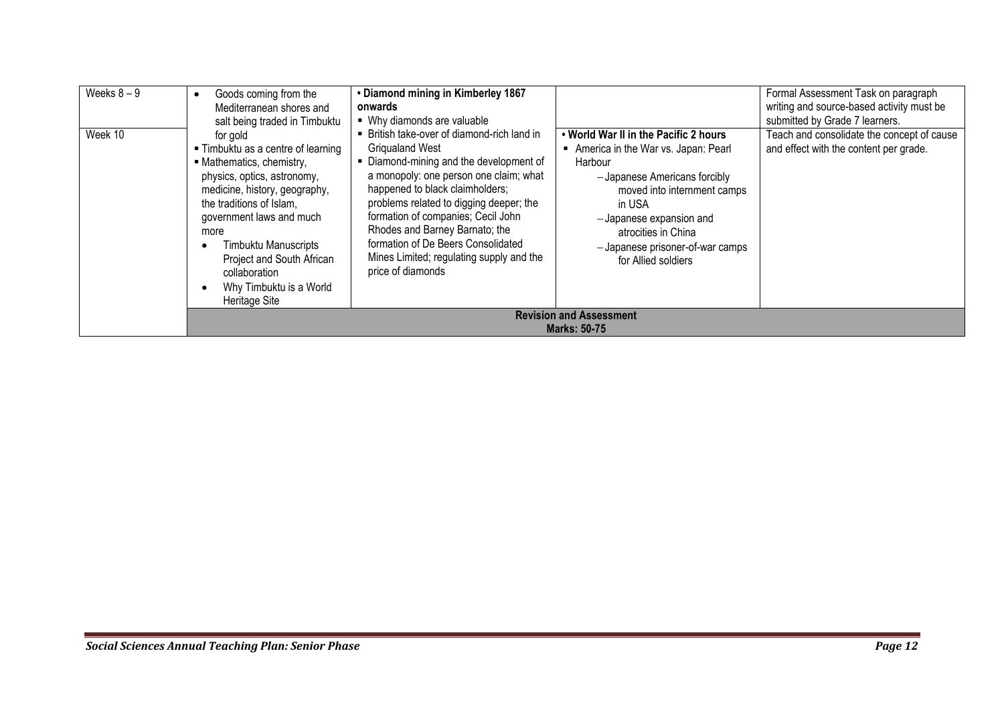| Weeks $8-9$ | Goods coming from the<br>Mediterranean shores and<br>salt being traded in Timbuktu                                                                                                                                                                                                                                            | • Diamond mining in Kimberley 1867<br>onwards<br>• Why diamonds are valuable                                                                                                                                                                                                                                                                                                                                          |                                                                                                                                                                                                                                                                              | Formal Assessment Task on paragraph<br>writing and source-based activity must be<br>submitted by Grade 7 learners. |
|-------------|-------------------------------------------------------------------------------------------------------------------------------------------------------------------------------------------------------------------------------------------------------------------------------------------------------------------------------|-----------------------------------------------------------------------------------------------------------------------------------------------------------------------------------------------------------------------------------------------------------------------------------------------------------------------------------------------------------------------------------------------------------------------|------------------------------------------------------------------------------------------------------------------------------------------------------------------------------------------------------------------------------------------------------------------------------|--------------------------------------------------------------------------------------------------------------------|
| Week 10     | for gold<br>■ Timbuktu as a centre of learning<br>• Mathematics, chemistry,<br>physics, optics, astronomy,<br>medicine, history, geography,<br>the traditions of Islam,<br>government laws and much<br>more<br>Timbuktu Manuscripts<br>Project and South African<br>collaboration<br>Why Timbuktu is a World<br>Heritage Site | • British take-over of diamond-rich land in<br><b>Griqualand West</b><br>Diamond-mining and the development of<br>a monopoly: one person one claim; what<br>happened to black claimholders;<br>problems related to digging deeper; the<br>formation of companies; Cecil John<br>Rhodes and Barney Barnato; the<br>formation of De Beers Consolidated<br>Mines Limited; regulating supply and the<br>price of diamonds | . World War II in the Pacific 2 hours<br>America in the War vs. Japan: Pearl<br>Harbour<br>-Japanese Americans forcibly<br>moved into internment camps<br>in USA<br>-Japanese expansion and<br>atrocities in China<br>-Japanese prisoner-of-war camps<br>for Allied soldiers | Teach and consolidate the concept of cause<br>and effect with the content per grade.                               |
|             |                                                                                                                                                                                                                                                                                                                               |                                                                                                                                                                                                                                                                                                                                                                                                                       | <b>Revision and Assessment</b><br><b>Marks: 50-75</b>                                                                                                                                                                                                                        |                                                                                                                    |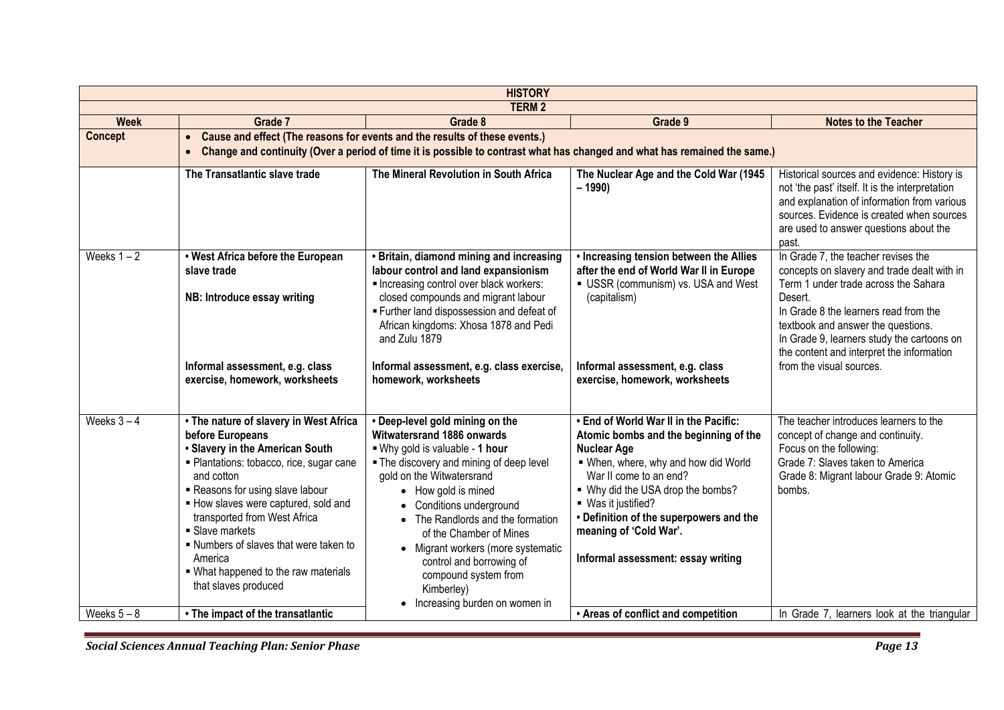| <b>HISTORY</b> |                                                                                                                                                                                                                                                                                                                                                                                                         |                                                                                                                                                                                                                                                                                                                                                                                                                                       |                                                                                                                                                                                                                                                                                                                                               |                                                                                                                                                                                                                                                                                                                                             |  |  |
|----------------|---------------------------------------------------------------------------------------------------------------------------------------------------------------------------------------------------------------------------------------------------------------------------------------------------------------------------------------------------------------------------------------------------------|---------------------------------------------------------------------------------------------------------------------------------------------------------------------------------------------------------------------------------------------------------------------------------------------------------------------------------------------------------------------------------------------------------------------------------------|-----------------------------------------------------------------------------------------------------------------------------------------------------------------------------------------------------------------------------------------------------------------------------------------------------------------------------------------------|---------------------------------------------------------------------------------------------------------------------------------------------------------------------------------------------------------------------------------------------------------------------------------------------------------------------------------------------|--|--|
| <b>TERM2</b>   |                                                                                                                                                                                                                                                                                                                                                                                                         |                                                                                                                                                                                                                                                                                                                                                                                                                                       |                                                                                                                                                                                                                                                                                                                                               |                                                                                                                                                                                                                                                                                                                                             |  |  |
| <b>Week</b>    | Grade 7                                                                                                                                                                                                                                                                                                                                                                                                 | Grade 8                                                                                                                                                                                                                                                                                                                                                                                                                               | Grade 9                                                                                                                                                                                                                                                                                                                                       | <b>Notes to the Teacher</b>                                                                                                                                                                                                                                                                                                                 |  |  |
| <b>Concept</b> | Cause and effect (The reasons for events and the results of these events.)<br>$\bullet$<br>Change and continuity (Over a period of time it is possible to contrast what has changed and what has remained the same.)<br>$\bullet$                                                                                                                                                                       |                                                                                                                                                                                                                                                                                                                                                                                                                                       |                                                                                                                                                                                                                                                                                                                                               |                                                                                                                                                                                                                                                                                                                                             |  |  |
|                | The Transatlantic slave trade                                                                                                                                                                                                                                                                                                                                                                           | The Mineral Revolution in South Africa                                                                                                                                                                                                                                                                                                                                                                                                | The Nuclear Age and the Cold War (1945<br>$-1990$                                                                                                                                                                                                                                                                                             | Historical sources and evidence: History is<br>not 'the past' itself. It is the interpretation<br>and explanation of information from various<br>sources. Evidence is created when sources<br>are used to answer questions about the<br>past.                                                                                               |  |  |
| Weeks $1 - 2$  | . West Africa before the European<br>slave trade<br>NB: Introduce essay writing<br>Informal assessment, e.g. class<br>exercise, homework, worksheets                                                                                                                                                                                                                                                    | • Britain, diamond mining and increasing<br>labour control and land expansionism<br>Increasing control over black workers:<br>closed compounds and migrant labour<br>Further land dispossession and defeat of<br>African kingdoms: Xhosa 1878 and Pedi<br>and Zulu 1879<br>Informal assessment, e.g. class exercise,<br>homework, worksheets                                                                                          | • Increasing tension between the Allies<br>after the end of World War II in Europe<br>USSR (communism) vs. USA and West<br>(capitalism)<br>Informal assessment, e.g. class<br>exercise, homework, worksheets                                                                                                                                  | In Grade 7, the teacher revises the<br>concepts on slavery and trade dealt with in<br>Term 1 under trade across the Sahara<br>Desert.<br>In Grade 8 the learners read from the<br>textbook and answer the questions.<br>In Grade 9, learners study the cartoons on<br>the content and interpret the information<br>from the visual sources. |  |  |
| Weeks $3-4$    | • The nature of slavery in West Africa<br>before Europeans<br>• Slavery in the American South<br>· Plantations: tobacco, rice, sugar cane<br>and cotton<br>Reasons for using slave labour<br>How slaves were captured, sold and<br>transported from West Africa<br>• Slave markets<br>. Numbers of slaves that were taken to<br>America<br>• What happened to the raw materials<br>that slaves produced | . Deep-level gold mining on the<br>Witwatersrand 1886 onwards<br>. Why gold is valuable - 1 hour<br>• The discovery and mining of deep level<br>gold on the Witwatersrand<br>• How gold is mined<br>• Conditions underground<br>• The Randlords and the formation<br>of the Chamber of Mines<br>• Migrant workers (more systematic<br>control and borrowing of<br>compound system from<br>Kimberley)<br>Increasing burden on women in | . End of World War II in the Pacific:<br>Atomic bombs and the beginning of the<br><b>Nuclear Age</b><br>. When, where, why and how did World<br>War II come to an end?<br>. Why did the USA drop the bombs?<br>■ Was it justified?<br>• Definition of the superpowers and the<br>meaning of 'Cold War'.<br>Informal assessment: essay writing | The teacher introduces learners to the<br>concept of change and continuity.<br>Focus on the following:<br>Grade 7: Slaves taken to America<br>Grade 8: Migrant labour Grade 9: Atomic<br>bombs.                                                                                                                                             |  |  |
| Weeks $5 - 8$  | • The impact of the transatlantic                                                                                                                                                                                                                                                                                                                                                                       |                                                                                                                                                                                                                                                                                                                                                                                                                                       | • Areas of conflict and competition                                                                                                                                                                                                                                                                                                           | In Grade 7, learners look at the triangular                                                                                                                                                                                                                                                                                                 |  |  |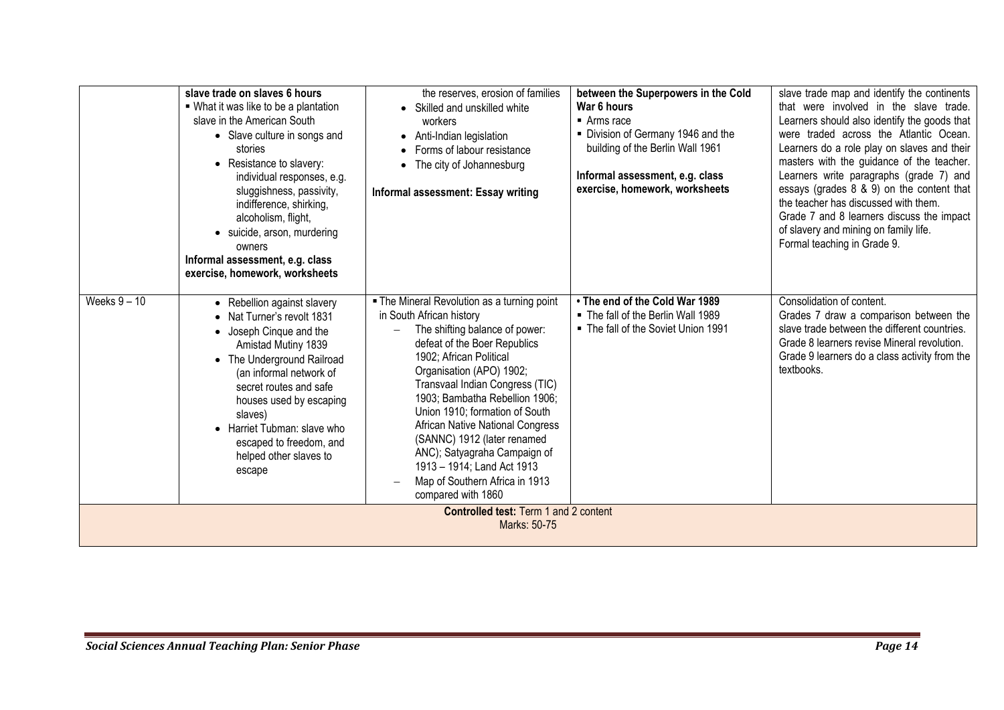|                                                       | slave trade on slaves 6 hours<br>■ What it was like to be a plantation<br>slave in the American South<br>• Slave culture in songs and<br>stories<br>• Resistance to slavery:<br>individual responses, e.g.<br>sluggishness, passivity,<br>indifference, shirking,<br>alcoholism, flight,<br>• suicide, arson, murdering<br>owners<br>Informal assessment, e.g. class<br>exercise, homework, worksheets | the reserves, erosion of families<br>• Skilled and unskilled white<br>workers<br>• Anti-Indian legislation<br>• Forms of labour resistance<br>• The city of Johannesburg<br>Informal assessment: Essay writing                                                                                                                                                                                                                                                                                   | between the Superpowers in the Cold<br>War 6 hours<br>$\blacksquare$ Arms race<br>• Division of Germany 1946 and the<br>building of the Berlin Wall 1961<br>Informal assessment, e.g. class<br>exercise, homework, worksheets | slave trade map and identify the continents<br>that were involved in the slave trade.<br>Learners should also identify the goods that<br>were traded across the Atlantic Ocean.<br>Learners do a role play on slaves and their<br>masters with the guidance of the teacher.<br>Learners write paragraphs (grade 7) and<br>essays (grades 8 & 9) on the content that<br>the teacher has discussed with them.<br>Grade 7 and 8 learners discuss the impact<br>of slavery and mining on family life.<br>Formal teaching in Grade 9. |  |  |
|-------------------------------------------------------|--------------------------------------------------------------------------------------------------------------------------------------------------------------------------------------------------------------------------------------------------------------------------------------------------------------------------------------------------------------------------------------------------------|--------------------------------------------------------------------------------------------------------------------------------------------------------------------------------------------------------------------------------------------------------------------------------------------------------------------------------------------------------------------------------------------------------------------------------------------------------------------------------------------------|-------------------------------------------------------------------------------------------------------------------------------------------------------------------------------------------------------------------------------|----------------------------------------------------------------------------------------------------------------------------------------------------------------------------------------------------------------------------------------------------------------------------------------------------------------------------------------------------------------------------------------------------------------------------------------------------------------------------------------------------------------------------------|--|--|
| Weeks $9 - 10$                                        | • Rebellion against slavery<br>Nat Turner's revolt 1831<br>$\bullet$<br>• Joseph Cinque and the<br>Amistad Mutiny 1839<br>• The Underground Railroad<br>(an informal network of<br>secret routes and safe<br>houses used by escaping<br>slaves)<br>• Harriet Tubman: slave who<br>escaped to freedom, and<br>helped other slaves to<br>escape                                                          | . The Mineral Revolution as a turning point<br>in South African history<br>The shifting balance of power:<br>defeat of the Boer Republics<br>1902; African Political<br>Organisation (APO) 1902;<br>Transvaal Indian Congress (TIC)<br>1903; Bambatha Rebellion 1906;<br>Union 1910; formation of South<br>African Native National Congress<br>(SANNC) 1912 (later renamed<br>ANC); Satyagraha Campaign of<br>1913 - 1914; Land Act 1913<br>Map of Southern Africa in 1913<br>compared with 1860 | • The end of the Cold War 1989<br>. The fall of the Berlin Wall 1989<br>■ The fall of the Soviet Union 1991                                                                                                                   | Consolidation of content.<br>Grades 7 draw a comparison between the<br>slave trade between the different countries.<br>Grade 8 learners revise Mineral revolution.<br>Grade 9 learners do a class activity from the<br>textbooks.                                                                                                                                                                                                                                                                                                |  |  |
| Controlled test: Term 1 and 2 content<br>Marks: 50-75 |                                                                                                                                                                                                                                                                                                                                                                                                        |                                                                                                                                                                                                                                                                                                                                                                                                                                                                                                  |                                                                                                                                                                                                                               |                                                                                                                                                                                                                                                                                                                                                                                                                                                                                                                                  |  |  |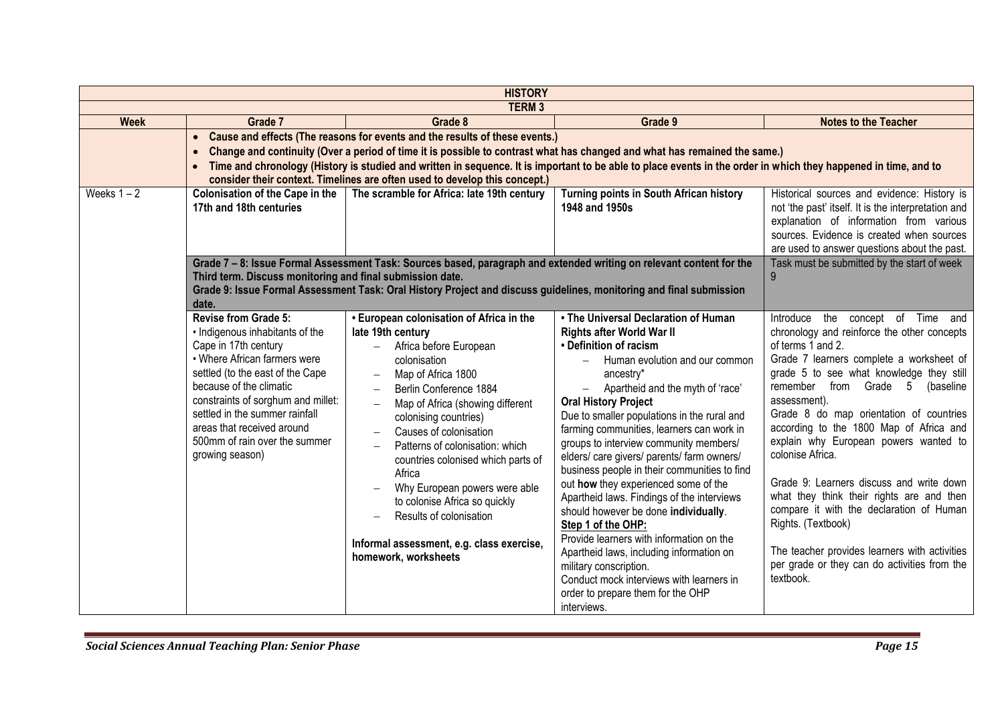| <b>HISTORY</b>         |                                                                                                                                                                                                                                                                                                                                                                                                                                                                                     |                                                                                                                                                                                                                                                                                                                                                                                                                                                                                                                                 |                                                                                                                                                                                                                                                                                                                                                                                                                                                                                                                                                                                                                                                                                                                                                                                                                                    |                                                                                                                                                                                                                                                                                                                                                                                                                                                                                                                                                                                                                                                                                 |  |  |  |
|------------------------|-------------------------------------------------------------------------------------------------------------------------------------------------------------------------------------------------------------------------------------------------------------------------------------------------------------------------------------------------------------------------------------------------------------------------------------------------------------------------------------|---------------------------------------------------------------------------------------------------------------------------------------------------------------------------------------------------------------------------------------------------------------------------------------------------------------------------------------------------------------------------------------------------------------------------------------------------------------------------------------------------------------------------------|------------------------------------------------------------------------------------------------------------------------------------------------------------------------------------------------------------------------------------------------------------------------------------------------------------------------------------------------------------------------------------------------------------------------------------------------------------------------------------------------------------------------------------------------------------------------------------------------------------------------------------------------------------------------------------------------------------------------------------------------------------------------------------------------------------------------------------|---------------------------------------------------------------------------------------------------------------------------------------------------------------------------------------------------------------------------------------------------------------------------------------------------------------------------------------------------------------------------------------------------------------------------------------------------------------------------------------------------------------------------------------------------------------------------------------------------------------------------------------------------------------------------------|--|--|--|
| <b>TERM3</b>           |                                                                                                                                                                                                                                                                                                                                                                                                                                                                                     |                                                                                                                                                                                                                                                                                                                                                                                                                                                                                                                                 |                                                                                                                                                                                                                                                                                                                                                                                                                                                                                                                                                                                                                                                                                                                                                                                                                                    |                                                                                                                                                                                                                                                                                                                                                                                                                                                                                                                                                                                                                                                                                 |  |  |  |
| <b>Week</b><br>Grade 7 |                                                                                                                                                                                                                                                                                                                                                                                                                                                                                     | Grade 8                                                                                                                                                                                                                                                                                                                                                                                                                                                                                                                         | Grade 9                                                                                                                                                                                                                                                                                                                                                                                                                                                                                                                                                                                                                                                                                                                                                                                                                            | <b>Notes to the Teacher</b>                                                                                                                                                                                                                                                                                                                                                                                                                                                                                                                                                                                                                                                     |  |  |  |
|                        | Cause and effects (The reasons for events and the results of these events.)<br>$\bullet$<br>Change and continuity (Over a period of time it is possible to contrast what has changed and what has remained the same.)<br>$\bullet$<br>Time and chronology (History is studied and written in sequence. It is important to be able to place events in the order in which they happened in time, and to<br>consider their context. Timelines are often used to develop this concept.) |                                                                                                                                                                                                                                                                                                                                                                                                                                                                                                                                 |                                                                                                                                                                                                                                                                                                                                                                                                                                                                                                                                                                                                                                                                                                                                                                                                                                    |                                                                                                                                                                                                                                                                                                                                                                                                                                                                                                                                                                                                                                                                                 |  |  |  |
| Weeks $1 - 2$          | <b>Colonisation of the Cape in the</b><br>17th and 18th centuries                                                                                                                                                                                                                                                                                                                                                                                                                   | The scramble for Africa: late 19th century                                                                                                                                                                                                                                                                                                                                                                                                                                                                                      | Turning points in South African history<br>1948 and 1950s                                                                                                                                                                                                                                                                                                                                                                                                                                                                                                                                                                                                                                                                                                                                                                          | Historical sources and evidence: History is<br>not 'the past' itself. It is the interpretation and<br>explanation of information from various<br>sources. Evidence is created when sources<br>are used to answer questions about the past.                                                                                                                                                                                                                                                                                                                                                                                                                                      |  |  |  |
|                        | Grade 7 - 8: Issue Formal Assessment Task: Sources based, paragraph and extended writing on relevant content for the<br>Third term. Discuss monitoring and final submission date.<br>Grade 9: Issue Formal Assessment Task: Oral History Project and discuss guidelines, monitoring and final submission<br>date.                                                                                                                                                                   | Task must be submitted by the start of week<br>9                                                                                                                                                                                                                                                                                                                                                                                                                                                                                |                                                                                                                                                                                                                                                                                                                                                                                                                                                                                                                                                                                                                                                                                                                                                                                                                                    |                                                                                                                                                                                                                                                                                                                                                                                                                                                                                                                                                                                                                                                                                 |  |  |  |
|                        | <b>Revise from Grade 5:</b><br>• Indigenous inhabitants of the<br>Cape in 17th century<br>• Where African farmers were<br>settled (to the east of the Cape<br>because of the climatic<br>constraints of sorghum and millet:<br>settled in the summer rainfall<br>areas that received around<br>500mm of rain over the summer<br>growing season)                                                                                                                                     | • European colonisation of Africa in the<br>late 19th century<br>Africa before European<br>colonisation<br>Map of Africa 1800<br>$\overline{\phantom{0}}$<br>Berlin Conference 1884<br>Map of Africa (showing different<br>colonising countries)<br>Causes of colonisation<br>Patterns of colonisation: which<br>countries colonised which parts of<br>Africa<br>Why European powers were able<br>to colonise Africa so quickly<br>Results of colonisation<br>Informal assessment, e.g. class exercise,<br>homework, worksheets | • The Universal Declaration of Human<br><b>Rights after World War II</b><br>• Definition of racism<br>Human evolution and our common<br>$-$<br>ancestry*<br>Apartheid and the myth of 'race'<br><b>Oral History Project</b><br>Due to smaller populations in the rural and<br>farming communities, learners can work in<br>groups to interview community members/<br>elders/care givers/parents/farm owners/<br>business people in their communities to find<br>out how they experienced some of the<br>Apartheid laws. Findings of the interviews<br>should however be done individually.<br>Step 1 of the OHP:<br>Provide learners with information on the<br>Apartheid laws, including information on<br>military conscription.<br>Conduct mock interviews with learners in<br>order to prepare them for the OHP<br>interviews. | the concept of Time and<br>Introduce<br>chronology and reinforce the other concepts<br>of terms 1 and 2.<br>Grade 7 learners complete a worksheet of<br>grade 5 to see what knowledge they still<br>remember from Grade 5 (baseline<br>assessment).<br>Grade 8 do map orientation of countries<br>according to the 1800 Map of Africa and<br>explain why European powers wanted to<br>colonise Africa.<br>Grade 9: Learners discuss and write down<br>what they think their rights are and then<br>compare it with the declaration of Human<br>Rights. (Textbook)<br>The teacher provides learners with activities<br>per grade or they can do activities from the<br>textbook. |  |  |  |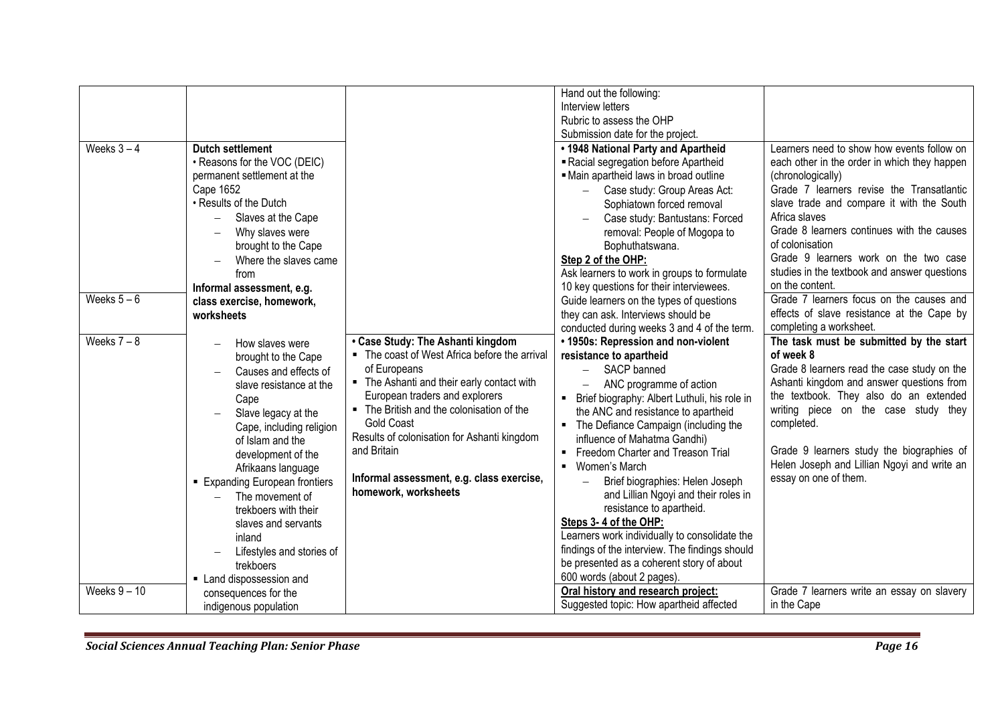| Weeks $3-4$<br>Weeks $5-6$<br>Weeks $7 - 8$<br>Weeks $9 - 10$ | <b>Dutch settlement</b><br>• Reasons for the VOC (DEIC)<br>permanent settlement at the<br>Cape 1652<br>• Results of the Dutch<br>Slaves at the Cape<br>Why slaves were<br>brought to the Cape<br>Where the slaves came<br>from<br>Informal assessment, e.g.<br>class exercise, homework,<br>worksheets<br>How slaves were<br>brought to the Cape<br>Causes and effects of<br>slave resistance at the<br>Cape<br>Slave legacy at the<br>Cape, including religion<br>of Islam and the<br>development of the<br>Afrikaans language<br><b>Expanding European frontiers</b><br>The movement of<br>trekboers with their<br>slaves and servants<br>inland<br>Lifestyles and stories of<br>trekboers<br>• Land dispossession and<br>consequences for the | • Case Study: The Ashanti kingdom<br>• The coast of West Africa before the arrival<br>of Europeans<br>• The Ashanti and their early contact with<br>European traders and explorers<br>• The British and the colonisation of the<br>Gold Coast<br>Results of colonisation for Ashanti kingdom<br>and Britain<br>Informal assessment, e.g. class exercise,<br>homework, worksheets | Hand out the following:<br>Interview letters<br>Rubric to assess the OHP<br>Submission date for the project.<br>. 1948 National Party and Apartheid<br>Racial segregation before Apartheid<br>- Main apartheid laws in broad outline<br>Case study: Group Areas Act:<br>Sophiatown forced removal<br>Case study: Bantustans: Forced<br>removal: People of Mogopa to<br>Bophuthatswana.<br>Step 2 of the OHP:<br>Ask learners to work in groups to formulate<br>10 key questions for their interviewees.<br>Guide learners on the types of questions<br>they can ask. Interviews should be<br>conducted during weeks 3 and 4 of the term.<br>• 1950s: Repression and non-violent<br>resistance to apartheid<br>SACP banned<br>$-$<br>ANC programme of action<br>Brief biography: Albert Luthuli, his role in<br>٠.<br>the ANC and resistance to apartheid<br>• The Defiance Campaign (including the<br>influence of Mahatma Gandhi)<br>Freedom Charter and Treason Trial<br>■ Women's March<br>Brief biographies: Helen Joseph<br>$\overline{\phantom{0}}$<br>and Lillian Ngoyi and their roles in<br>resistance to apartheid.<br>Steps 3-4 of the OHP:<br>Learners work individually to consolidate the<br>findings of the interview. The findings should<br>be presented as a coherent story of about<br>600 words (about 2 pages).<br>Oral history and research project: | Learners need to show how events follow on<br>each other in the order in which they happen<br>(chronologically)<br>Grade 7 learners revise the Transatlantic<br>slave trade and compare it with the South<br>Africa slaves<br>Grade 8 learners continues with the causes<br>of colonisation<br>Grade 9 learners work on the two case<br>studies in the textbook and answer questions<br>on the content.<br>Grade 7 learners focus on the causes and<br>effects of slave resistance at the Cape by<br>completing a worksheet.<br>The task must be submitted by the start<br>of week 8<br>Grade 8 learners read the case study on the<br>Ashanti kingdom and answer questions from<br>the textbook. They also do an extended<br>writing piece on the case study they<br>completed.<br>Grade 9 learners study the biographies of<br>Helen Joseph and Lillian Ngoyi and write an<br>essay on one of them.<br>Grade 7 learners write an essay on slavery |
|---------------------------------------------------------------|--------------------------------------------------------------------------------------------------------------------------------------------------------------------------------------------------------------------------------------------------------------------------------------------------------------------------------------------------------------------------------------------------------------------------------------------------------------------------------------------------------------------------------------------------------------------------------------------------------------------------------------------------------------------------------------------------------------------------------------------------|----------------------------------------------------------------------------------------------------------------------------------------------------------------------------------------------------------------------------------------------------------------------------------------------------------------------------------------------------------------------------------|----------------------------------------------------------------------------------------------------------------------------------------------------------------------------------------------------------------------------------------------------------------------------------------------------------------------------------------------------------------------------------------------------------------------------------------------------------------------------------------------------------------------------------------------------------------------------------------------------------------------------------------------------------------------------------------------------------------------------------------------------------------------------------------------------------------------------------------------------------------------------------------------------------------------------------------------------------------------------------------------------------------------------------------------------------------------------------------------------------------------------------------------------------------------------------------------------------------------------------------------------------------------------------------------------------------------------------------------------------------------------|-----------------------------------------------------------------------------------------------------------------------------------------------------------------------------------------------------------------------------------------------------------------------------------------------------------------------------------------------------------------------------------------------------------------------------------------------------------------------------------------------------------------------------------------------------------------------------------------------------------------------------------------------------------------------------------------------------------------------------------------------------------------------------------------------------------------------------------------------------------------------------------------------------------------------------------------------------|
|                                                               | indigenous population                                                                                                                                                                                                                                                                                                                                                                                                                                                                                                                                                                                                                                                                                                                            |                                                                                                                                                                                                                                                                                                                                                                                  | Suggested topic: How apartheid affected                                                                                                                                                                                                                                                                                                                                                                                                                                                                                                                                                                                                                                                                                                                                                                                                                                                                                                                                                                                                                                                                                                                                                                                                                                                                                                                                    | in the Cape                                                                                                                                                                                                                                                                                                                                                                                                                                                                                                                                                                                                                                                                                                                                                                                                                                                                                                                                         |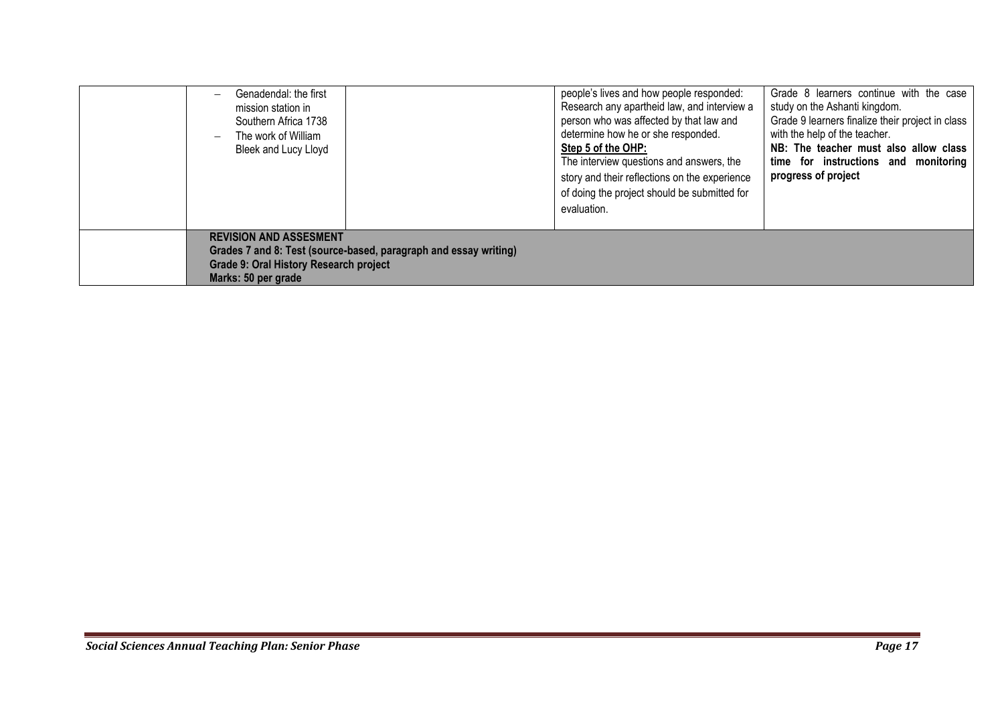| Genadendal: the first<br>$\overline{\phantom{0}}$<br>mission station in<br>Southern Africa 1738<br>The work of William<br>$\overline{\phantom{0}}$<br>Bleek and Lucy Lloyd | people's lives and how people responded:<br>Research any apartheid law, and interview a<br>person who was affected by that law and<br>determine how he or she responded.<br>Step 5 of the OHP:<br>The interview questions and answers, the<br>story and their reflections on the experience<br>of doing the project should be submitted for<br>evaluation. | Grade 8 learners continue with the case<br>study on the Ashanti kingdom.<br>Grade 9 learners finalize their project in class<br>with the help of the teacher.<br>NB: The teacher must also allow class<br>time for instructions and monitoring<br>progress of project |
|----------------------------------------------------------------------------------------------------------------------------------------------------------------------------|------------------------------------------------------------------------------------------------------------------------------------------------------------------------------------------------------------------------------------------------------------------------------------------------------------------------------------------------------------|-----------------------------------------------------------------------------------------------------------------------------------------------------------------------------------------------------------------------------------------------------------------------|
| <b>REVISION AND ASSESMENT</b><br>Grades 7 and 8: Test (source-based, paragraph and essay writing)<br><b>Grade 9: Oral History Research project</b><br>Marks: 50 per grade  |                                                                                                                                                                                                                                                                                                                                                            |                                                                                                                                                                                                                                                                       |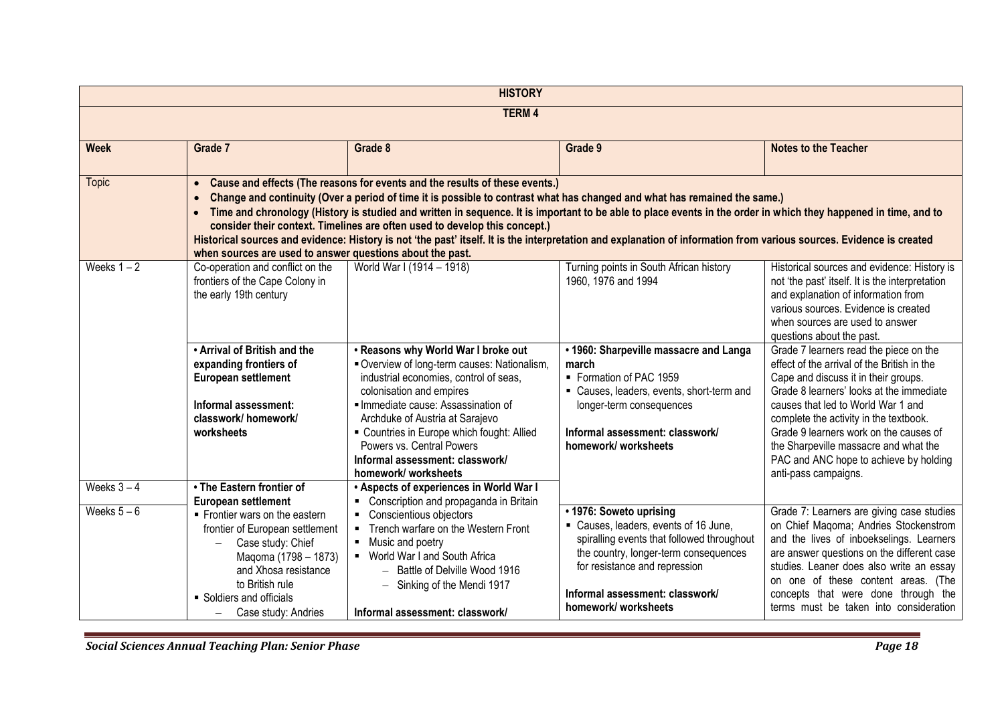| <b>HISTORY</b>             |                                                                                                                                                                                                                                                                                                                                                                                                                                                                                                                                                                                                                                                                                                  |                                                                                                                                                                                                                                                                                                                                                                      |                                                                                                                                                                                                                                                    |                                                                                                                                                                                                                                                                                                                                                                                                                |  |  |
|----------------------------|--------------------------------------------------------------------------------------------------------------------------------------------------------------------------------------------------------------------------------------------------------------------------------------------------------------------------------------------------------------------------------------------------------------------------------------------------------------------------------------------------------------------------------------------------------------------------------------------------------------------------------------------------------------------------------------------------|----------------------------------------------------------------------------------------------------------------------------------------------------------------------------------------------------------------------------------------------------------------------------------------------------------------------------------------------------------------------|----------------------------------------------------------------------------------------------------------------------------------------------------------------------------------------------------------------------------------------------------|----------------------------------------------------------------------------------------------------------------------------------------------------------------------------------------------------------------------------------------------------------------------------------------------------------------------------------------------------------------------------------------------------------------|--|--|
| <b>TERM4</b>               |                                                                                                                                                                                                                                                                                                                                                                                                                                                                                                                                                                                                                                                                                                  |                                                                                                                                                                                                                                                                                                                                                                      |                                                                                                                                                                                                                                                    |                                                                                                                                                                                                                                                                                                                                                                                                                |  |  |
| <b>Week</b>                | Grade 7                                                                                                                                                                                                                                                                                                                                                                                                                                                                                                                                                                                                                                                                                          | <b>Notes to the Teacher</b>                                                                                                                                                                                                                                                                                                                                          |                                                                                                                                                                                                                                                    |                                                                                                                                                                                                                                                                                                                                                                                                                |  |  |
| <b>Topic</b>               | • Cause and effects (The reasons for events and the results of these events.)<br>Change and continuity (Over a period of time it is possible to contrast what has changed and what has remained the same.)<br>Time and chronology (History is studied and written in sequence. It is important to be able to place events in the order in which they happened in time, and to<br>consider their context. Timelines are often used to develop this concept.)<br>Historical sources and evidence: History is not 'the past' itself. It is the interpretation and explanation of information from various sources. Evidence is created<br>when sources are used to answer questions about the past. |                                                                                                                                                                                                                                                                                                                                                                      |                                                                                                                                                                                                                                                    |                                                                                                                                                                                                                                                                                                                                                                                                                |  |  |
| Weeks $1 - 2$              | Co-operation and conflict on the<br>frontiers of the Cape Colony in<br>the early 19th century                                                                                                                                                                                                                                                                                                                                                                                                                                                                                                                                                                                                    | World War I (1914 - 1918)                                                                                                                                                                                                                                                                                                                                            | Turning points in South African history<br>1960, 1976 and 1994                                                                                                                                                                                     | Historical sources and evidence: History is<br>not 'the past' itself. It is the interpretation<br>and explanation of information from<br>various sources. Evidence is created<br>when sources are used to answer<br>questions about the past.                                                                                                                                                                  |  |  |
|                            | . Arrival of British and the<br>expanding frontiers of<br><b>European settlement</b><br>Informal assessment:<br>classwork/homework/<br>worksheets                                                                                                                                                                                                                                                                                                                                                                                                                                                                                                                                                | . Reasons why World War I broke out<br>Overview of long-term causes: Nationalism,<br>industrial economies, control of seas,<br>colonisation and empires<br>Immediate cause: Assassination of<br>Archduke of Austria at Sarajevo<br>• Countries in Europe which fought: Allied<br>Powers vs. Central Powers<br>Informal assessment: classwork/<br>homework/worksheets | • 1960: Sharpeville massacre and Langa<br>march<br>• Formation of PAC 1959<br>• Causes, leaders, events, short-term and<br>longer-term consequences<br>Informal assessment: classwork/<br>homework/worksheets                                      | Grade 7 learners read the piece on the<br>effect of the arrival of the British in the<br>Cape and discuss it in their groups.<br>Grade 8 learners' looks at the immediate<br>causes that led to World War 1 and<br>complete the activity in the textbook.<br>Grade 9 learners work on the causes of<br>the Sharpeville massacre and what the<br>PAC and ANC hope to achieve by holding<br>anti-pass campaigns. |  |  |
| Weeks $3-4$<br>Weeks $5-6$ | . The Eastern frontier of<br><b>European settlement</b><br>• Frontier wars on the eastern<br>frontier of European settlement<br>Case study: Chief<br>Maqoma (1798 - 1873)<br>and Xhosa resistance<br>to British rule<br>• Soldiers and officials<br>Case study: Andries<br>$-$                                                                                                                                                                                                                                                                                                                                                                                                                   | . Aspects of experiences in World War I<br>• Conscription and propaganda in Britain<br>• Conscientious objectors<br>Trench warfare on the Western Front<br>$\blacksquare$<br>• Music and poetry<br>• World War I and South Africa<br>- Battle of Delville Wood 1916<br>- Sinking of the Mendi 1917<br>Informal assessment: classwork/                                | • 1976: Soweto uprising<br>• Causes, leaders, events of 16 June,<br>spiralling events that followed throughout<br>the country, longer-term consequences<br>for resistance and repression<br>Informal assessment: classwork/<br>homework/worksheets | Grade 7: Learners are giving case studies<br>on Chief Magoma; Andries Stockenstrom<br>and the lives of inboekselings. Learners<br>are answer questions on the different case<br>studies. Leaner does also write an essay<br>on one of these content areas. (The<br>concepts that were done through the<br>terms must be taken into consideration                                                               |  |  |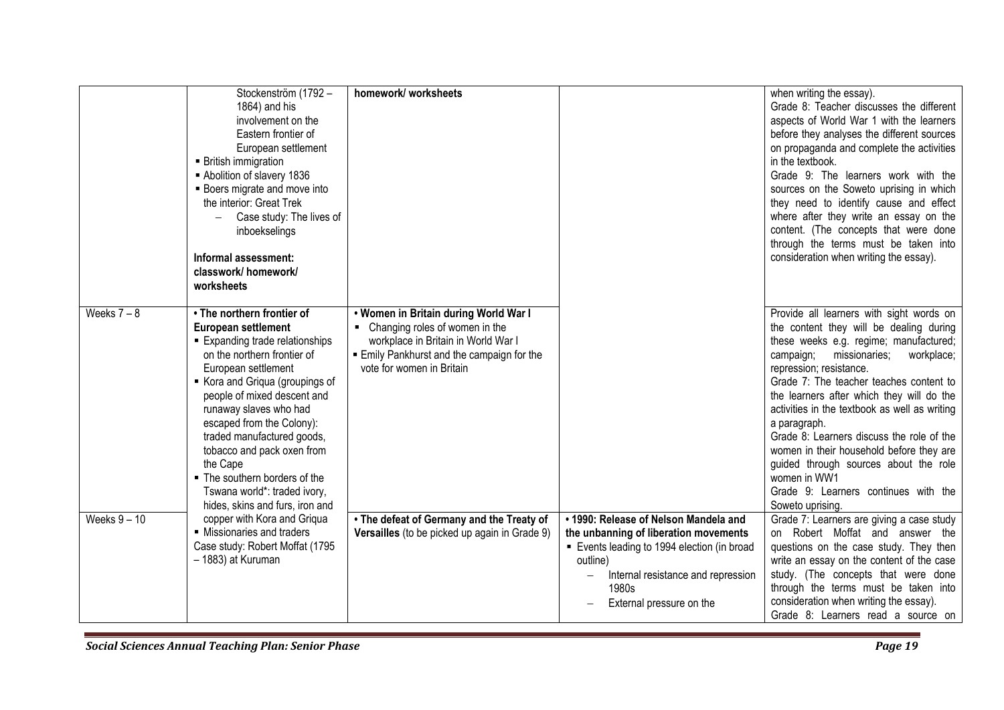|                | Stockenström (1792 -<br>1864) and his<br>involvement on the<br>Eastern frontier of<br>European settlement<br><b>British immigration</b><br>Abolition of slavery 1836<br><b>Boers migrate and move into</b><br>the interior: Great Trek<br>Case study: The lives of<br>inboekselings<br>Informal assessment:<br>classwork/ homework/<br>worksheets                                                                                                    | homework/worksheets                                                                                                                                                                     |                                                                                                                                                                                                                    | when writing the essay).<br>Grade 8: Teacher discusses the different<br>aspects of World War 1 with the learners<br>before they analyses the different sources<br>on propaganda and complete the activities<br>in the textbook.<br>Grade 9: The learners work with the<br>sources on the Soweto uprising in which<br>they need to identify cause and effect<br>where after they write an essay on the<br>content. (The concepts that were done<br>through the terms must be taken into<br>consideration when writing the essay).                                            |
|----------------|------------------------------------------------------------------------------------------------------------------------------------------------------------------------------------------------------------------------------------------------------------------------------------------------------------------------------------------------------------------------------------------------------------------------------------------------------|-----------------------------------------------------------------------------------------------------------------------------------------------------------------------------------------|--------------------------------------------------------------------------------------------------------------------------------------------------------------------------------------------------------------------|-----------------------------------------------------------------------------------------------------------------------------------------------------------------------------------------------------------------------------------------------------------------------------------------------------------------------------------------------------------------------------------------------------------------------------------------------------------------------------------------------------------------------------------------------------------------------------|
| Weeks $7 - 8$  | • The northern frontier of<br><b>European settlement</b><br>■ Expanding trade relationships<br>on the northern frontier of<br>European settlement<br>Kora and Griqua (groupings of<br>people of mixed descent and<br>runaway slaves who had<br>escaped from the Colony):<br>traded manufactured goods,<br>tobacco and pack oxen from<br>the Cape<br>• The southern borders of the<br>Tswana world*: traded ivory,<br>hides, skins and furs, iron and | . Women in Britain during World War I<br>Changing roles of women in the<br>workplace in Britain in World War I<br>Emily Pankhurst and the campaign for the<br>vote for women in Britain |                                                                                                                                                                                                                    | Provide all learners with sight words on<br>the content they will be dealing during<br>these weeks e.g. regime; manufactured;<br>campaign;<br>missionaries;<br>workplace;<br>repression; resistance.<br>Grade 7: The teacher teaches content to<br>the learners after which they will do the<br>activities in the textbook as well as writing<br>a paragraph.<br>Grade 8: Learners discuss the role of the<br>women in their household before they are<br>guided through sources about the role<br>women in WW1<br>Grade 9: Learners continues with the<br>Soweto uprising. |
| Weeks $9 - 10$ | copper with Kora and Griqua<br>• Missionaries and traders<br>Case study: Robert Moffat (1795<br>- 1883) at Kuruman                                                                                                                                                                                                                                                                                                                                   | • The defeat of Germany and the Treaty of<br>Versailles (to be picked up again in Grade 9)                                                                                              | . 1990: Release of Nelson Mandela and<br>the unbanning of liberation movements<br>Events leading to 1994 election (in broad<br>outline)<br>Internal resistance and repression<br>1980s<br>External pressure on the | Grade 7: Learners are giving a case study<br>on Robert Moffat and answer the<br>questions on the case study. They then<br>write an essay on the content of the case<br>study. (The concepts that were done<br>through the terms must be taken into<br>consideration when writing the essay).<br>Grade 8: Learners read a source on                                                                                                                                                                                                                                          |